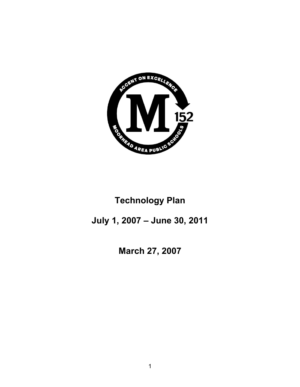

# **Technology Plan**

# **July 1, 2007 – June 30, 2011**

**March 27, 2007**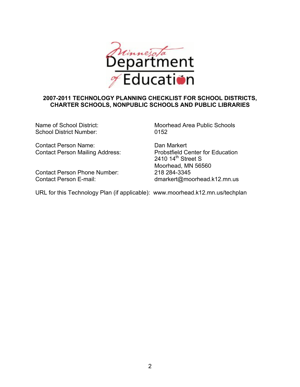

## **2007-2011 TECHNOLOGY PLANNING CHECKLIST FOR SCHOOL DISTRICTS, CHARTER SCHOOLS, NONPUBLIC SCHOOLS AND PUBLIC LIBRARIES**

School District Number: 0152

Contact Person Name: Dan Markert Contact Person Mailing Address: Probstfield Center for Education

Contact Person Phone Number: 218 284-3345

Name of School District: Moorhead Area Public Schools

2410  $14^{\text{th}}$  Street S Moorhead, MN 56560 Contact Person E-mail: dmarkert@moorhead.k12.mn.us

URL for this Technology Plan (if applicable): www.moorhead.k12.mn.us/techplan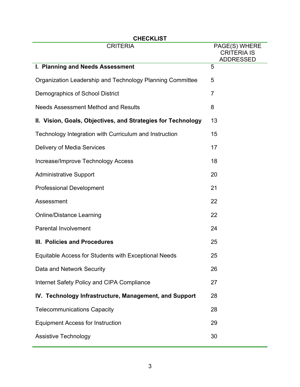| <b>CHECKLIST</b>                                             |                                     |  |
|--------------------------------------------------------------|-------------------------------------|--|
| <b>CRITERIA</b>                                              | PAGE(S) WHERE<br><b>CRITERIA IS</b> |  |
|                                                              | <b>ADDRESSED</b>                    |  |
| I. Planning and Needs Assessment                             | 5                                   |  |
| Organization Leadership and Technology Planning Committee    | 5                                   |  |
| Demographics of School District                              | $\overline{7}$                      |  |
| <b>Needs Assessment Method and Results</b>                   | 8                                   |  |
| II. Vision, Goals, Objectives, and Strategies for Technology | 13                                  |  |
| Technology Integration with Curriculum and Instruction       | 15                                  |  |
| Delivery of Media Services                                   | 17                                  |  |
| Increase/Improve Technology Access                           | 18                                  |  |
| <b>Administrative Support</b>                                | 20                                  |  |
| <b>Professional Development</b>                              | 21                                  |  |
| Assessment                                                   | 22                                  |  |
| <b>Online/Distance Learning</b>                              | 22                                  |  |
| <b>Parental Involvement</b>                                  | 24                                  |  |
| III. Policies and Procedures                                 | 25                                  |  |
| Equitable Access for Students with Exceptional Needs         | 25                                  |  |
| Data and Network Security                                    | 26                                  |  |
| Internet Safety Policy and CIPA Compliance                   | 27                                  |  |
| IV. Technology Infrastructure, Management, and Support       | 28                                  |  |
| <b>Telecommunications Capacity</b>                           | 28                                  |  |
| <b>Equipment Access for Instruction</b>                      | 29                                  |  |
| <b>Assistive Technology</b>                                  | 30                                  |  |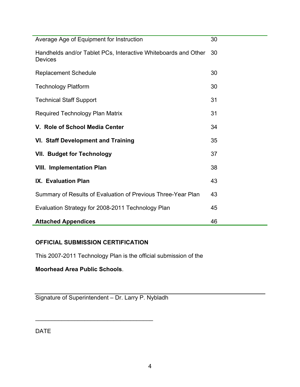| Average Age of Equipment for Instruction                                         | 30 |
|----------------------------------------------------------------------------------|----|
| Handhelds and/or Tablet PCs, Interactive Whiteboards and Other<br><b>Devices</b> | 30 |
| <b>Replacement Schedule</b>                                                      | 30 |
| <b>Technology Platform</b>                                                       | 30 |
| <b>Technical Staff Support</b>                                                   | 31 |
| <b>Required Technology Plan Matrix</b>                                           | 31 |
| V. Role of School Media Center                                                   | 34 |
| <b>VI. Staff Development and Training</b>                                        | 35 |
| <b>VII. Budget for Technology</b>                                                | 37 |
| <b>VIII. Implementation Plan</b>                                                 | 38 |
| IX. Evaluation Plan                                                              | 43 |
| Summary of Results of Evaluation of Previous Three-Year Plan                     | 43 |
| Evaluation Strategy for 2008-2011 Technology Plan                                | 45 |
| <b>Attached Appendices</b>                                                       | 46 |

# **OFFICIAL SUBMISSION CERTIFICATION**

This 2007-2011 Technology Plan is the official submission of the

**Moorhead Area Public Schools**.

Signature of Superintendent – Dr. Larry P. Nybladh

\_\_\_\_\_\_\_\_\_\_\_\_\_\_\_\_\_\_\_\_\_\_\_\_\_\_\_\_\_\_\_\_\_\_\_\_

DATE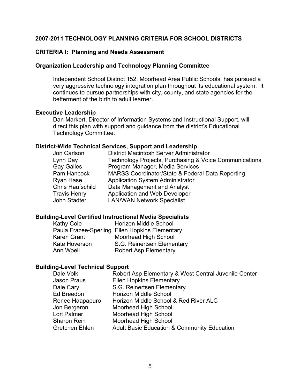### **2007-2011 TECHNOLOGY PLANNING CRITERIA FOR SCHOOL DISTRICTS**

#### **CRITERIA I: Planning and Needs Assessment**

#### **Organization Leadership and Technology Planning Committee**

Independent School District 152, Moorhead Area Public Schools, has pursued a very aggressive technology integration plan throughout its educational system. It continues to pursue partnerships with city, county, and state agencies for the betterment of the birth to adult learner.

#### **Executive Leadership**

Dan Markert, Director of Information Systems and Instructional Support, will direct this plan with support and guidance from the district's Educational Technology Committee.

#### **District-Wide Technical Services, Support and Leadership**

| Jon Carlson             | District Macintosh Server Administrator                |
|-------------------------|--------------------------------------------------------|
| Lynn Day                | Technology Projects, Purchasing & Voice Communications |
| <b>Gay Galles</b>       | Program Manager, Media Services                        |
| Pam Hancock             | MARSS Coordinator/State & Federal Data Reporting       |
| Ryan Hase               | <b>Application System Administrator</b>                |
| <b>Chris Haufschild</b> | Data Management and Analyst                            |
| <b>Travis Henry</b>     | Application and Web Developer                          |
| John Stadter            | <b>LAN/WAN Network Specialist</b>                      |
|                         |                                                        |

#### **Building-Level Certified Instructional Media Specialists**

| <b>Horizon Middle School</b>                   |
|------------------------------------------------|
| Paula Frazee-Sperling Ellen Hopkins Elementary |
| Moorhead High School                           |
| S.G. Reinertsen Elementary                     |
| <b>Robert Asp Elementary</b>                   |
|                                                |

#### **Building-Level Technical Support**

| Dale Volk       | Robert Asp Elementary & West Central Juvenile Center   |
|-----------------|--------------------------------------------------------|
| Jason Praus     | <b>Ellen Hopkins Elementary</b>                        |
| Dale Cary       | S.G. Reinertsen Elementary                             |
| Ed Breedon      | Horizon Middle School                                  |
| Renee Haapapuro | Horizon Middle School & Red River ALC                  |
| Jon Bergeron    | Moorhead High School                                   |
| Lori Palmer     | Moorhead High School                                   |
| Sharon Rein     | Moorhead High School                                   |
| Gretchen Ehlen  | <b>Adult Basic Education &amp; Community Education</b> |
|                 |                                                        |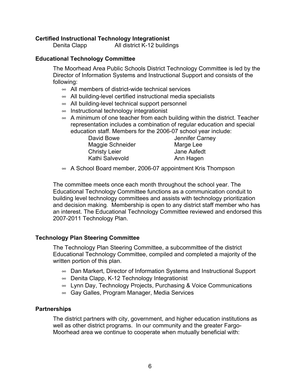#### **Certified Instructional Technology Integrationist**

Denita Clapp All district K-12 buildings

#### **Educational Technology Committee**

The Moorhead Area Public Schools District Technology Committee is led by the Director of Information Systems and Instructional Support and consists of the following:

- $\infty$  All members of district-wide technical services
- $\infty$  All building-level certified instructional media specialists
- $\infty$  All building-level technical support personnel
- $\infty$  Instructional technology integrationist
- $\infty$  A minimum of one teacher from each building within the district. Teacher representation includes a combination of regular education and special education staff. Members for the 2006-07 school year include:

Jennifer Carney Marge Lee Jane Aafedt Ann Hagen

| David Bowe           |  |
|----------------------|--|
| Maggie Schneider     |  |
| <b>Christy Leier</b> |  |
| Kathi Salvevold      |  |

 $\infty$  A School Board member, 2006-07 appointment Kris Thompson

The committee meets once each month throughout the school year. The Educational Technology Committee functions as a communication conduit to building level technology committees and assists with technology prioritization and decision making. Membership is open to any district staff member who has an interest. The Educational Technology Committee reviewed and endorsed this 2007-2011 Technology Plan.

#### **Technology Plan Steering Committee**

The Technology Plan Steering Committee, a subcommittee of the district Educational Technology Committee, compiled and completed a majority of the written portion of this plan.

- $\infty$  Dan Markert, Director of Information Systems and Instructional Support
- $\infty$  Denita Clapp, K-12 Technology Integrationist
- $\infty$  Lynn Day, Technology Projects, Purchasing & Voice Communications
- $\infty$  Gay Galles, Program Manager, Media Services

#### **Partnerships**

The district partners with city, government, and higher education institutions as well as other district programs. In our community and the greater Fargo-Moorhead area we continue to cooperate when mutually beneficial with: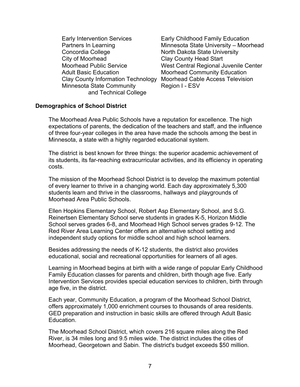Early Intervention Services Early Childhood Family Education Concordia College North Dakota State University City of Moorhead Clay County Head Start Adult Basic Education Moorhead Community Education Clay County Information Technology Moorhead Cable Access Television Minnesota State Community Region I - ESV and Technical College

Partners In Learning Minnesota State University – Moorhead Moorhead Public Service West Central Regional Juvenile Center

#### **Demographics of School District**

The Moorhead Area Public Schools have a reputation for excellence. The high expectations of parents, the dedication of the teachers and staff, and the influence of three four-year colleges in the area have made the schools among the best in Minnesota, a state with a highly regarded educational system.

The district is best known for three things: the superior academic achievement of its students, its far-reaching extracurricular activities, and its efficiency in operating costs.

The mission of the Moorhead School District is to develop the maximum potential of every learner to thrive in a changing world. Each day approximately 5,300 students learn and thrive in the classrooms, hallways and playgrounds of Moorhead Area Public Schools.

Ellen Hopkins Elementary School, Robert Asp Elementary School, and S.G. Reinertsen Elementary School serve students in grades K-5, Horizon Middle School serves grades 6-8, and Moorhead High School serves grades 9-12. The Red River Area Learning Center offers an alternative school setting and independent study options for middle school and high school learners.

Besides addressing the needs of K-12 students, the district also provides educational, social and recreational opportunities for learners of all ages.

Learning in Moorhead begins at birth with a wide range of popular Early Childhood Family Education classes for parents and children, birth though age five. Early Intervention Services provides special education services to children, birth through age five, in the district.

Each year, Community Education, a program of the Moorhead School District, offers approximately 1,000 enrichment courses to thousands of area residents. GED preparation and instruction in basic skills are offered through Adult Basic Education.

The Moorhead School District, which covers 216 square miles along the Red River, is 34 miles long and 9.5 miles wide. The district includes the cities of Moorhead, Georgetown and Sabin. The district's budget exceeds \$50 million.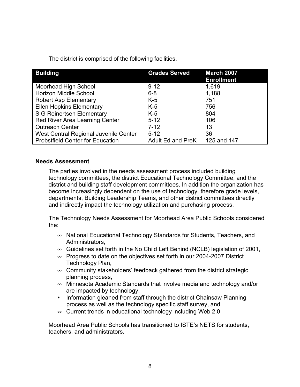The district is comprised of the following facilities.

| <b>Building</b>                         | <b>Grades Served</b>     | <b>March 2007</b><br><b>Enrollment</b> |
|-----------------------------------------|--------------------------|----------------------------------------|
| Moorhead High School                    | $9 - 12$                 | 1,619                                  |
| <b>Horizon Middle School</b>            | $6 - 8$                  | 1,188                                  |
| <b>Robert Asp Elementary</b>            | $K-5$                    | 751                                    |
| <b>Ellen Hopkins Elementary</b>         | $K-5$                    | 756                                    |
| S G Reinertsen Elementary               | $K-5$                    | 804                                    |
| <b>Red River Area Learning Center</b>   | $5 - 12$                 | 106                                    |
| <b>Outreach Center</b>                  | $7 - 12$                 | 13                                     |
| West Central Regional Juvenile Center   | $5 - 12$                 | 36                                     |
| <b>Probstfield Center for Education</b> | <b>Adult Ed and PreK</b> | 125 and 147                            |

# **Needs Assessment**

The parties involved in the needs assessment process included building technology committees, the district Educational Technology Committee, and the district and building staff development committees. In addition the organization has become increasingly dependent on the use of technology, therefore grade levels, departments, Building Leadership Teams, and other district committees directly and indirectly impact the technology utilization and purchasing process.

The Technology Needs Assessment for Moorhead Area Public Schools considered the:

- $\infty$  National Educational Technology Standards for Students, Teachers, and Administrators,
- $\infty$  Guidelines set forth in the No Child Left Behind (NCLB) legislation of 2001,
- $\infty$  Progress to date on the objectives set forth in our 2004-2007 District Technology Plan,
- $\infty$  Community stakeholders' feedback gathered from the district strategic planning process,
- Minnesota Academic Standards that involve media and technology and/or are impacted by technology,
- **•** Information gleaned from staff through the district Chainsaw Planning process as well as the technology specific staff survey, and
- $\infty$  Current trends in educational technology including Web 2.0

Moorhead Area Public Schools has transitioned to ISTE's NETS for students, teachers, and administrators.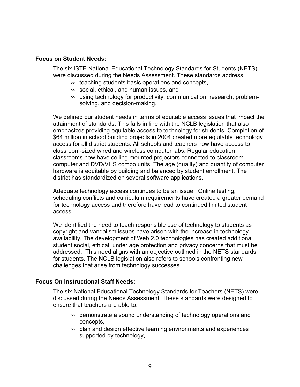#### **Focus on Student Needs:**

The six ISTE National Educational Technology Standards for Students (NETS) were discussed during the Needs Assessment. These standards address:

- $\infty$  teaching students basic operations and concepts,
- $\infty$  social, ethical, and human issues, and
- $\infty$  using technology for productivity, communication, research, problemsolving, and decision-making.

We defined our student needs in terms of equitable access issues that impact the attainment of standards. This falls in line with the NCLB legislation that also emphasizes providing equitable access to technology for students. Completion of \$64 million in school building projects in 2004 created more equitable technology access for all district students. All schools and teachers now have access to classroom-sized wired and wireless computer labs. Regular education classrooms now have ceiling mounted projectors connected to classroom computer and DVD/VHS combo units. The age (quality) and quantity of computer hardware is equitable by building and balanced by student enrollment. The district has standardized on several software applications.

Adequate technology access continues to be an issue. Online testing, scheduling conflicts and curriculum requirements have created a greater demand for technology access and therefore have lead to continued limited student access.

We identified the need to teach responsible use of technology to students as copyright and vandalism issues have arisen with the increase in technology availability. The development of Web 2.0 technologies has created additional student social, ethical, under age protection and privacy concerns that must be addressed. This need aligns with an objective outlined in the NETS standards for students. The NCLB legislation also refers to schools confronting new challenges that arise from technology successes.

### **Focus On Instructional Staff Needs:**

The six National Educational Technology Standards for Teachers (NETS) were discussed during the Needs Assessment. These standards were designed to ensure that teachers are able to:

- $\infty$  demonstrate a sound understanding of technology operations and concepts,
- $\infty$  plan and design effective learning environments and experiences supported by technology,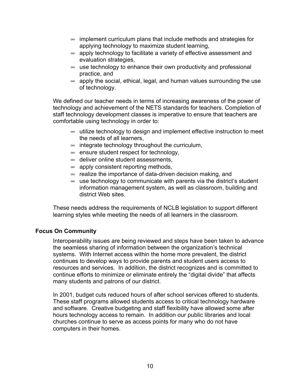- $\infty$  implement curriculum plans that include methods and strategies for applying technology to maximize student learning,
- $\infty$  apply technology to facilitate a variety of effective assessment and evaluation strategies,
- $\infty$  use technology to enhance their own productivity and professional practice, and
- $\infty$  apply the social, ethical, legal, and human values surrounding the use of technology.

We defined our teacher needs in terms of increasing awareness of the power of technology and achievement of the NETS standards for teachers. Completion of staff technology development classes is imperative to ensure that teachers are comfortable using technology in order to:

- $\infty$  utilize technology to design and implement effective instruction to meet the needs of all learners,
- $\infty$  integrate technology throughout the curriculum,
- $\infty$  ensure student respect for technology,
- $\infty$  deliver online student assessments,
- $\infty$  apply consistent reporting methods,
- $\infty$  realize the importance of data-driven decision making, and
- $\infty$  use technology to communicate with parents via the district's student information management system, as well as classroom, building and district Web sites.

These needs address the requirements of NCLB legislation to support different learning styles while meeting the needs of all learners in the classroom.

# **Focus On Community**

Interoperability issues are being reviewed and steps have been taken to advance the seamless sharing of information between the organization's technical systems. With Internet access within the home more prevalent, the district continues to develop ways to provide parents and student users access to resources and services. In addition, the district recognizes and is committed to continue efforts to minimize or eliminate entirely the "digital divide" that affects many students and patrons of our district.

In 2001, budget cuts reduced hours of after school services offered to students. These staff programs allowed students access to critical technology hardware and software. Creative budgeting and staff flexibility have allowed some after hours technology access to remain. In addition our public libraries and local churches continue to serve as access points for many who do not have computers in their homes.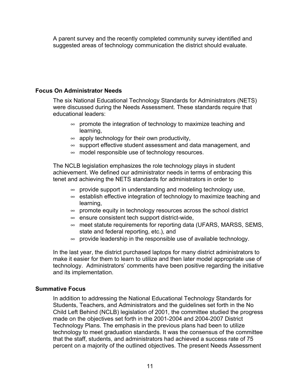A parent survey and the recently completed community survey identified and suggested areas of technology communication the district should evaluate.

# **Focus On Administrator Needs**

The six National Educational Technology Standards for Administrators (NETS) were discussed during the Needs Assessment. These standards require that educational leaders:

- $\infty$  promote the integration of technology to maximize teaching and learning,
- $\infty$  apply technology for their own productivity,
- $\infty$  support effective student assessment and data management, and
- $\infty$  model responsible use of technology resources.

The NCLB legislation emphasizes the role technology plays in student achievement. We defined our administrator needs in terms of embracing this tenet and achieving the NETS standards for administrators in order to

- $\infty$  provide support in understanding and modeling technology use,
- $\infty$  establish effective integration of technology to maximize teaching and learning,
- $\infty$  promote equity in technology resources across the school district
- $\infty$  ensure consistent tech support district-wide,
- $\infty$  meet statute requirements for reporting data (UFARS, MARSS, SEMS, state and federal reporting, etc.), and
- $\infty$  provide leadership in the responsible use of available technology.

In the last year, the district purchased laptops for many district administrators to make it easier for them to learn to utilize and then later model appropriate use of technology. Administrators' comments have been positive regarding the initiative and its implementation.

### **Summative Focus**

In addition to addressing the National Educational Technology Standards for Students, Teachers, and Administrators and the guidelines set forth in the No Child Left Behind (NCLB) legislation of 2001, the committee studied the progress made on the objectives set forth in the 2001-2004 and 2004-2007 District Technology Plans. The emphasis in the previous plans had been to utilize technology to meet graduation standards. It was the consensus of the committee that the staff, students, and administrators had achieved a success rate of 75 percent on a majority of the outlined objectives. The present Needs Assessment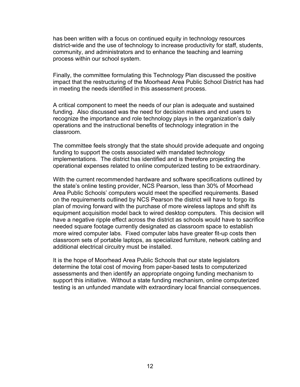has been written with a focus on continued equity in technology resources district-wide and the use of technology to increase productivity for staff, students, community, and administrators and to enhance the teaching and learning process within our school system.

Finally, the committee formulating this Technology Plan discussed the positive impact that the restructuring of the Moorhead Area Public School District has had in meeting the needs identified in this assessment process.

A critical component to meet the needs of our plan is adequate and sustained funding. Also discussed was the need for decision makers and end users to recognize the importance and role technology plays in the organization's daily operations and the instructional benefits of technology integration in the classroom.

The committee feels strongly that the state should provide adequate and ongoing funding to support the costs associated with mandated technology implementations. The district has identified and is therefore projecting the operational expenses related to online computerized testing to be extraordinary.

With the current recommended hardware and software specifications outlined by the state's online testing provider, NCS Pearson, less than 30% of Moorhead Area Public Schools' computers would meet the specified requirements. Based on the requirements outlined by NCS Pearson the district will have to forgo its plan of moving forward with the purchase of more wireless laptops and shift its equipment acquisition model back to wired desktop computers. This decision will have a negative ripple effect across the district as schools would have to sacrifice needed square footage currently designated as classroom space to establish more wired computer labs. Fixed computer labs have greater fit-up costs then classroom sets of portable laptops, as specialized furniture, network cabling and additional electrical circuitry must be installed.

It is the hope of Moorhead Area Public Schools that our state legislators determine the total cost of moving from paper-based tests to computerized assessments and then identify an appropriate ongoing funding mechanism to support this initiative. Without a state funding mechanism, online computerized testing is an unfunded mandate with extraordinary local financial consequences.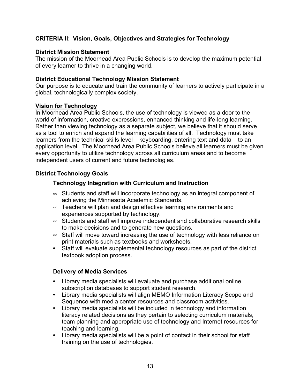# **CRITERIA II**: **Vision, Goals, Objectives and Strategies for Technology**

# **District Mission Statement**

The mission of the Moorhead Area Public Schools is to develop the maximum potential of every learner to thrive in a changing world.

## **District Educational Technology Mission Statement**

Our purpose is to educate and train the community of learners to actively participate in a global, technologically complex society.

# **Vision for Technology**

In Moorhead Area Public Schools, the use of technology is viewed as a door to the world of information, creative expressions, enhanced thinking and life-long learning. Rather than viewing technology as a separate subject, we believe that it should serve as a tool to enrich and expand the learning capabilities of all. Technology must take learners from the technical skills level – keyboarding, entering text and data – to an application level. The Moorhead Area Public Schools believe all learners must be given every opportunity to utilize technology across all curriculum areas and to become independent users of current and future technologies.

# **District Technology Goals**

# **Technology Integration with Curriculum and Instruction**

- $\infty$  Students and staff will incorporate technology as an integral component of achieving the Minnesota Academic Standards.
- $\infty$  Teachers will plan and design effective learning environments and experiences supported by technology.
- $\infty$  Students and staff will improve independent and collaborative research skills to make decisions and to generate new questions.
- $\infty$  Staff will move toward increasing the use of technology with less reliance on print materials such as textbooks and worksheets.
- **•** Staff will evaluate supplemental technology resources as part of the district textbook adoption process.

# **Delivery of Media Services**

- **•** Library media specialists will evaluate and purchase additional online subscription databases to support student research.
- **•** Library media specialists will align MEMO Information Literacy Scope and Sequence with media center resources and classroom activities.
- **•** Library media specialists will be included in technology and information literacy related decisions as they pertain to selecting curriculum materials, team planning and appropriate use of technology and Internet resources for teaching and learning.
- **•** Library media specialists will be a point of contact in their school for staff training on the use of technologies.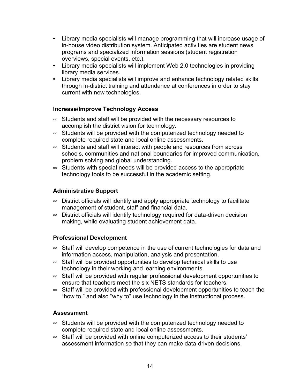- **•** Library media specialists will manage programming that will increase usage of in-house video distribution system. Anticipated activities are student news programs and specialized information sessions (student registration overviews, special events, etc.).
- **•** Library media specialists will implement Web 2.0 technologies in providing library media services.
- **•** Library media specialists will improve and enhance technology related skills through in-district training and attendance at conferences in order to stay current with new technologies.

# **Increase/Improve Technology Access**

- $\infty$  Students and staff will be provided with the necessary resources to accomplish the district vision for technology.
- $\infty$  Students will be provided with the computerized technology needed to complete required state and local online assessments.
- $\infty$  Students and staff will interact with people and resources from across schools, communities and national boundaries for improved communication, problem solving and global understanding.
- $\infty$  Students with special needs will be provided access to the appropriate technology tools to be successful in the academic setting.

# **Administrative Support**

- $\infty$  District officials will identify and apply appropriate technology to facilitate management of student, staff and financial data.
- $\infty$  District officials will identify technology required for data-driven decision making, while evaluating student achievement data.

### **Professional Development**

- $\infty$  Staff will develop competence in the use of current technologies for data and information access, manipulation, analysis and presentation.
- $\infty$  Staff will be provided opportunities to develop technical skills to use technology in their working and learning environments.
- $\infty$  Staff will be provided with regular professional development opportunities to ensure that teachers meet the six NETS standards for teachers.
- $\infty$  Staff will be provided with professional development opportunities to teach the "how to," and also "why to" use technology in the instructional process.

### **Assessment**

- $\infty$  Students will be provided with the computerized technology needed to complete required state and local online assessments.
- $\infty$  Staff will be provided with online computerized access to their students' assessment information so that they can make data-driven decisions.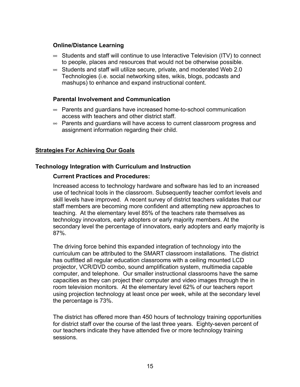## **Online/Distance Learning**

- $\infty$  Students and staff will continue to use Interactive Television (ITV) to connect to people, places and resources that would not be otherwise possible.
- $\infty$  Students and staff will utilize secure, private, and moderated Web 2.0 Technologies (i.e. social networking sites, wikis, blogs, podcasts and mashups) to enhance and expand instructional content.

### **Parental Involvement and Communication**

- $\infty$  Parents and guardians have increased home-to-school communication access with teachers and other district staff.
- $\infty$  Parents and guardians will have access to current classroom progress and assignment information regarding their child.

# **Strategies For Achieving Our Goals**

### **Technology Integration with Curriculum and Instruction**

#### **Current Practices and Procedures:**

Increased access to technology hardware and software has led to an increased use of technical tools in the classroom. Subsequently teacher comfort levels and skill levels have improved. A recent survey of district teachers validates that our staff members are becoming more confident and attempting new approaches to teaching. At the elementary level 85% of the teachers rate themselves as technology innovators, early adopters or early majority members. At the secondary level the percentage of innovators, early adopters and early majority is 87%.

The driving force behind this expanded integration of technology into the curriculum can be attributed to the SMART classroom installations. The district has outfitted all regular education classrooms with a ceiling mounted LCD projector, VCR/DVD combo, sound amplification system, multimedia capable computer, and telephone. Our smaller instructional classrooms have the same capacities as they can project their computer and video images through the in room television monitors. At the elementary level 62% of our teachers report using projection technology at least once per week, while at the secondary level the percentage is 73%.

The district has offered more than 450 hours of technology training opportunities for district staff over the course of the last three years. Eighty-seven percent of our teachers indicate they have attended five or more technology training sessions.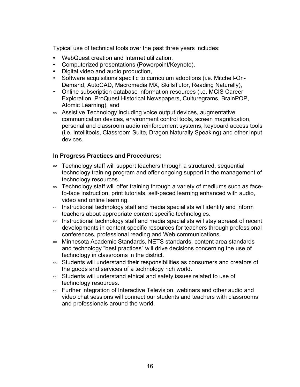Typical use of technical tools over the past three years includes:

- **•** WebQuest creation and Internet utilization,
- **•** Computerized presentations (Powerpoint/Keynote),
- **•** Digital video and audio production,
- Software acquisitions specific to curriculum adoptions (i.e. Mitchell-On-Demand, AutoCAD, Macromedia MX, SkillsTutor, Reading Naturally),
- Online subscription database information resources (i.e. MCIS Career Exploration, ProQuest Historical Newspapers, Culturegrams, BrainPOP, Atomic Learning), and
- $\infty$  Assistive Technology including voice output devices, augmentative communication devices, environment control tools, screen magnification, personal and classroom audio reinforcement systems, keyboard access tools (i.e. Intellitools, Classroom Suite, Dragon Naturally Speaking) and other input devices.

# **In Progress Practices and Procedures:**

- $\infty$  Technology staff will support teachers through a structured, sequential technology training program and offer ongoing support in the management of technology resources.
- $\infty$  Technology staff will offer training through a variety of mediums such as faceto-face instruction, print tutorials, self-paced learning enhanced with audio, video and online learning.
- $\infty$  Instructional technology staff and media specialists will identify and inform teachers about appropriate content specific technologies.
- $\infty$  Instructional technology staff and media specialists will stay abreast of recent developments in content specific resources for teachers through professional conferences, professional reading and Web communications.
- $\infty$  Minnesota Academic Standards, NETS standards, content area standards and technology "best practices" will drive decisions concerning the use of technology in classrooms in the district.
- $\infty$  Students will understand their responsibilities as consumers and creators of the goods and services of a technology rich world.
- $\infty$  Students will understand ethical and safety issues related to use of technology resources.
- $\sim$  Further integration of Interactive Television, webinars and other audio and video chat sessions will connect our students and teachers with classrooms and professionals around the world.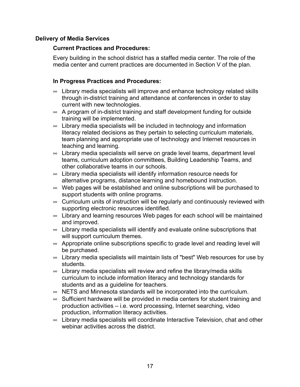# **Delivery of Media Services**

#### **Current Practices and Procedures:**

Every building in the school district has a staffed media center. The role of the media center and current practices are documented in Section V of the plan.

### **In Progress Practices and Procedures:**

- $\infty$  Library media specialists will improve and enhance technology related skills through in-district training and attendance at conferences in order to stay current with new technologies.
- $\infty$  A program of in-district training and staff development funding for outside training will be implemented.
- $\infty$  Library media specialists will be included in technology and information literacy related decisions as they pertain to selecting curriculum materials, team planning and appropriate use of technology and Internet resources in teaching and learning.
- $\infty$  Library media specialists will serve on grade level teams, department level teams, curriculum adoption committees, Building Leadership Teams, and other collaborative teams in our schools.
- $\infty$  Library media specialists will identify information resource needs for alternative programs, distance learning and homebound instruction.
- $\infty$  Web pages will be established and online subscriptions will be purchased to support students with online programs.
- $\infty$  Curriculum units of instruction will be regularly and continuously reviewed with supporting electronic resources identified.
- $\infty$  Library and learning resources Web pages for each school will be maintained and improved.
- $\infty$  Library media specialists will identify and evaluate online subscriptions that will support curriculum themes.
- $\infty$  Appropriate online subscriptions specific to grade level and reading level will be purchased.
- $\sim$  Library media specialists will maintain lists of "best" Web resources for use by students.
- $\infty$  Library media specialists will review and refine the library/media skills curriculum to include information literacy and technology standards for students and as a guideline for teachers.
- $\infty$  NETS and Minnesota standards will be incorporated into the curriculum.
- $\infty$  Sufficient hardware will be provided in media centers for student training and production activities – i.e. word processing, Internet searching, video production, information literacy activities.
- $\infty$  Library media specialists will coordinate Interactive Television, chat and other webinar activities across the district.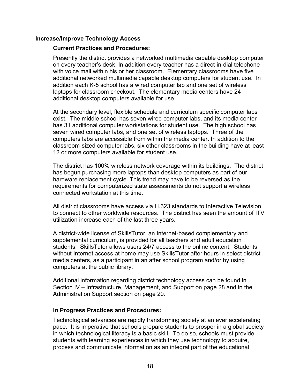#### **Increase/Improve Technology Access**

#### **Current Practices and Procedures:**

Presently the district provides a networked multimedia capable desktop computer on every teacher's desk. In addition every teacher has a direct-in-dial telephone with voice mail within his or her classroom. Elementary classrooms have five additional networked multimedia capable desktop computers for student use. In addition each K-5 school has a wired computer lab and one set of wireless laptops for classroom checkout. The elementary media centers have 24 additional desktop computers available for use.

At the secondary level, flexible schedule and curriculum specific computer labs exist. The middle school has seven wired computer labs, and its media center has 31 additional computer workstations for student use. The high school has seven wired computer labs, and one set of wireless laptops. Three of the computers labs are accessible from within the media center. In addition to the classroom-sized computer labs, six other classrooms in the building have at least 12 or more computers available for student use.

The district has 100% wireless network coverage within its buildings. The district has begun purchasing more laptops than desktop computers as part of our hardware replacement cycle. This trend may have to be reversed as the requirements for computerized state assessments do not support a wireless connected workstation at this time.

All district classrooms have access via H.323 standards to Interactive Television to connect to other worldwide resources. The district has seen the amount of ITV utilization increase each of the last three years.

A district-wide license of SkillsTutor, an Internet-based complementary and supplemental curriculum, is provided for all teachers and adult education students. SkillsTutor allows users 24/7 access to the online content. Students without Internet access at home may use SkillsTutor after hours in select district media centers, as a participant in an after school program and/or by using computers at the public library.

Additional information regarding district technology access can be found in Section IV – Infrastructure, Management, and Support on page 28 and in the Administration Support section on page 20.

### **In Progress Practices and Procedures:**

Technological advances are rapidly transforming society at an ever accelerating pace. It is imperative that schools prepare students to prosper in a global society in which technological literacy is a basic skill. To do so, schools must provide students with learning experiences in which they use technology to acquire, process and communicate information as an integral part of the educational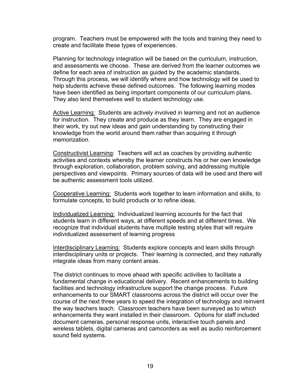program. Teachers must be empowered with the tools and training they need to create and facilitate these types of experiences.

Planning for technology integration will be based on the curriculum, instruction, and assessments we choose. These are derived from the learner outcomes we define for each area of instruction as guided by the academic standards. Through this process, we will identify where and how technology will be used to help students achieve these defined outcomes. The following learning modes have been identified as being important components of our curriculum plans. They also lend themselves well to student technology use.

Active Learning: Students are actively involved in learning and not an audience for instruction. They create and produce as they learn. They are engaged in their work, try out new ideas and gain understanding by constructing their knowledge from the world around them rather than acquiring it through memorization.

Constructivist Learning: Teachers will act as coaches by providing authentic activities and contexts whereby the learner constructs his or her own knowledge through exploration, collaboration, problem solving, and addressing multiple perspectives and viewpoints. Primary sources of data will be used and there will be authentic assessment tools utilized.

Cooperative Learning: Students work together to learn information and skills, to formulate concepts, to build products or to refine ideas.

Individualized Learning: Individualized learning accounts for the fact that students learn in different ways, at different speeds and at different times. We recognize that individual students have multiple testing styles that will require individualized assessment of learning progress

Interdisciplinary Learning: Students explore concepts and learn skills through interdisciplinary units or projects. Their learning is connected, and they naturally integrate ideas from many content areas.

The district continues to move ahead with specific activities to facilitate a fundamental change in educational delivery. Recent enhancements to building facilities and technology infrastructure support the change process. Future enhancements to our SMART classrooms across the district will occur over the course of the next three years to speed the integration of technology and reinvent the way teachers teach. Classroom teachers have been surveyed as to which enhancements they want installed in their classroom. Options for staff included document cameras, personal response units, interactive touch panels and wireless tablets, digital cameras and camcorders as well as audio reinforcement sound field systems.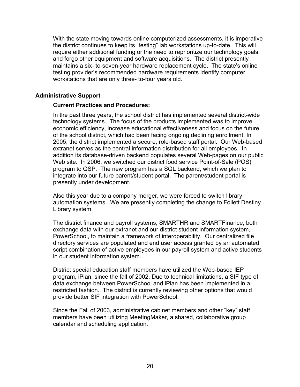With the state moving towards online computerized assessments, it is imperative the district continues to keep its "testing" lab workstations up-to-date. This will require either additional funding or the need to reprioritize our technology goals and forgo other equipment and software acquisitions. The district presently maintains a six- to-seven-year hardware replacement cycle. The state's online testing provider's recommended hardware requirements identify computer workstations that are only three- to-four years old.

#### **Administrative Support**

#### **Current Practices and Procedures:**

In the past three years, the school district has implemented several district-wide technology systems. The focus of the products implemented was to improve economic efficiency, increase educational effectiveness and focus on the future of the school district, which had been facing ongoing declining enrollment. In 2005, the district implemented a secure, role-based staff portal. Our Web-based extranet serves as the central information distribution for all employees. In addition its database-driven backend populates several Web-pages on our public Web site. In 2006, we switched our district food service Point-of-Sale (POS) program to QSP. The new program has a SQL backend, which we plan to integrate into our future parent/student portal. The parent/student portal is presently under development.

Also this year due to a company merger, we were forced to switch library automation systems. We are presently completing the change to Follett Destiny Library system.

The district finance and payroll systems, SMARTHR and SMARTFinance, both exchange data with our extranet and our district student information system, PowerSchool, to maintain a framework of interoperability. Our centralized file directory services are populated and end user access granted by an automated script combination of active employees in our payroll system and active students in our student information system.

District special education staff members have utilized the Web-based IEP program, iPlan, since the fall of 2002. Due to technical limitations, a SIF type of data exchange between PowerSchool and iPlan has been implemented in a restricted fashion. The district is currently reviewing other options that would provide better SIF integration with PowerSchool.

Since the Fall of 2003, administrative cabinet members and other "key" staff members have been utilizing MeetingMaker, a shared, collaborative group calendar and scheduling application.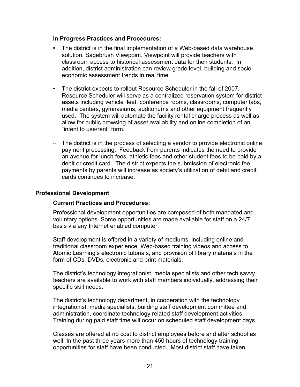#### **In Progress Practices and Procedures:**

- **•** The district is in the final implementation of a Web-based data warehouse solution, Sagebrush Viewpoint. Viewpoint will provide teachers with classroom access to historical assessment data for their students. In addition, district administration can review grade level, building and socio economic assessment trends in real time.
- The district expects to rollout Resource Scheduler in the fall of 2007. Resource Scheduler will serve as a centralized reservation system for district assets including vehicle fleet, conference rooms, classrooms, computer labs, media centers, gymnasiums, auditoriums and other equipment frequently used. The system will automate the facility rental charge process as well as allow for public browsing of asset availability and online completion of an "intent to use/rent" form.
- $\infty$  The district is in the process of selecting a vendor to provide electronic online payment processing. Feedback from parents indicates the need to provide an avenue for lunch fees, athletic fees and other student fees to be paid by a debit or credit card. The district expects the submission of electronic fee payments by parents will increase as society's utilization of debit and credit cards continues to increase.

### **Professional Development**

### **Current Practices and Procedures:**

Professional development opportunities are composed of both mandated and voluntary options. Some opportunities are made available for staff on a 24/7 basis via any Internet enabled computer.

Staff development is offered in a variety of mediums, including online and traditional classroom experience, Web-based training videos and access to Atomic Learning's electronic tutorials, and provision of library materials in the form of CDs, DVDs, electronic and print materials.

The district's technology integrationist, media specialists and other tech savvy teachers are available to work with staff members individually, addressing their specific skill needs.

The district's technology department, in cooperation with the technology integrationist, media specialists, building staff development committee and administration, coordinate technology related staff development activities. Training during paid staff time will occur on scheduled staff development days.

Classes are offered at no cost to district employees before and after school as well. In the past three years more than 450 hours of technology training opportunities for staff have been conducted. Most district staff have taken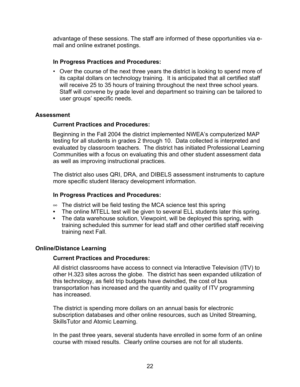advantage of these sessions. The staff are informed of these opportunities via email and online extranet postings.

# **In Progress Practices and Procedures:**

• Over the course of the next three years the district is looking to spend more of its capital dollars on technology training. It is anticipated that all certified staff will receive 25 to 35 hours of training throughout the next three school years. Staff will convene by grade level and department so training can be tailored to user groups' specific needs.

### **Assessment**

### **Current Practices and Procedures:**

Beginning in the Fall 2004 the district implemented NWEA's computerized MAP testing for all students in grades 2 through 10. Data collected is interpreted and evaluated by classroom teachers. The district has initiated Professional Learning Communities with a focus on evaluating this and other student assessment data as well as improving instructional practices.

The district also uses QRI, DRA, and DIBELS assessment instruments to capture more specific student literacy development information.

#### **In Progress Practices and Procedures:**

- $\infty$  The district will be field testing the MCA science test this spring
- **•** The online MTELL test will be given to several ELL students later this spring.
- **•** The data warehouse solution, Viewpoint, will be deployed this spring, with training scheduled this summer for lead staff and other certified staff receiving training next Fall.

### **Online/Distance Learning**

#### **Current Practices and Procedures:**

All district classrooms have access to connect via Interactive Television (ITV) to other H.323 sites across the globe. The district has seen expanded utilization of this technology, as field trip budgets have dwindled, the cost of bus transportation has increased and the quantity and quality of ITV programming has increased.

The district is spending more dollars on an annual basis for electronic subscription databases and other online resources, such as United Streaming, SkillsTutor and Atomic Learning.

In the past three years, several students have enrolled in some form of an online course with mixed results. Clearly online courses are not for all students.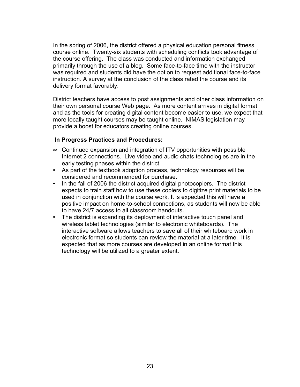In the spring of 2006, the district offered a physical education personal fitness course online. Twenty-six students with scheduling conflicts took advantage of the course offering. The class was conducted and information exchanged primarily through the use of a blog. Some face-to-face time with the instructor was required and students did have the option to request additional face-to-face instruction. A survey at the conclusion of the class rated the course and its delivery format favorably.

District teachers have access to post assignments and other class information on their own personal course Web page. As more content arrives in digital format and as the tools for creating digital content become easier to use, we expect that more locally taught courses may be taught online. NIMAS legislation may provide a boost for educators creating online courses.

### **In Progress Practices and Procedures:**

- $\infty$  Continued expansion and integration of ITV opportunities with possible Internet 2 connections. Live video and audio chats technologies are in the early testing phases within the district.
- **•** As part of the textbook adoption process, technology resources will be considered and recommended for purchase.
- **•** In the fall of 2006 the district acquired digital photocopiers. The district expects to train staff how to use these copiers to digitize print materials to be used in conjunction with the course work. It is expected this will have a positive impact on home-to-school connections, as students will now be able to have 24/7 access to all classroom handouts.
- **•** The district is expanding its deployment of interactive touch panel and wireless tablet technologies (similar to electronic whiteboards). The interactive software allows teachers to save all of their whiteboard work in electronic format so students can review the material at a later time. It is expected that as more courses are developed in an online format this technology will be utilized to a greater extent.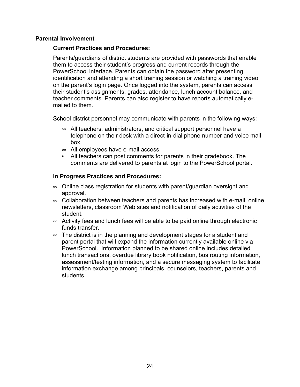#### **Parental Involvement**

#### **Current Practices and Procedures:**

Parents/guardians of district students are provided with passwords that enable them to access their student's progress and current records through the PowerSchool interface. Parents can obtain the password after presenting identification and attending a short training session or watching a training video on the parent's login page. Once logged into the system, parents can access their student's assignments, grades, attendance, lunch account balance, and teacher comments. Parents can also register to have reports automatically emailed to them.

School district personnel may communicate with parents in the following ways:

- $\infty$  All teachers, administrators, and critical support personnel have a telephone on their desk with a direct-in-dial phone number and voice mail box.
- $\infty$  All employees have e-mail access.
- All teachers can post comments for parents in their gradebook. The comments are delivered to parents at login to the PowerSchool portal.

#### **In Progress Practices and Procedures:**

- $\infty$  Online class registration for students with parent/guardian oversight and approval.
- $\infty$  Collaboration between teachers and parents has increased with e-mail, online newsletters, classroom Web sites and notification of daily activities of the student.
- $\infty$  Activity fees and lunch fees will be able to be paid online through electronic funds transfer.
- $\infty$  The district is in the planning and development stages for a student and parent portal that will expand the information currently available online via PowerSchool. Information planned to be shared online includes detailed lunch transactions, overdue library book notification, bus routing information, assessment/testing information, and a secure messaging system to facilitate information exchange among principals, counselors, teachers, parents and students.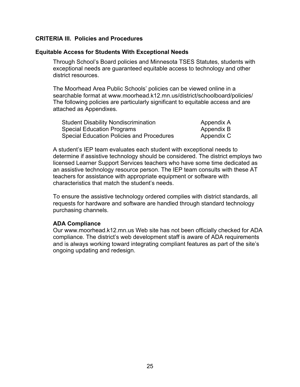#### **CRITERIA III. Policies and Procedures**

#### **Equitable Access for Students With Exceptional Needs**

Through School's Board policies and Minnesota TSES Statutes, students with exceptional needs are guaranteed equitable access to technology and other district resources.

The Moorhead Area Public Schools' policies can be viewed online in a searchable format at www.moorhead.k12.mn.us/district/schoolboard/policies/ The following policies are particularly significant to equitable access and are attached as Appendixes.

| <b>Student Disability Nondiscrimination</b>      | Appendix A |
|--------------------------------------------------|------------|
| <b>Special Education Programs</b>                | Appendix B |
| <b>Special Education Policies and Procedures</b> | Appendix C |

A student's IEP team evaluates each student with exceptional needs to determine if assistive technology should be considered. The district employs two licensed Learner Support Services teachers who have some time dedicated as an assistive technology resource person. The IEP team consults with these AT teachers for assistance with appropriate equipment or software with characteristics that match the student's needs.

To ensure the assistive technology ordered complies with district standards, all requests for hardware and software are handled through standard technology purchasing channels.

### **ADA Compliance**

Our www.moorhead.k12.mn.us Web site has not been officially checked for ADA compliance. The district's web development staff is aware of ADA requirements and is always working toward integrating compliant features as part of the site's ongoing updating and redesign.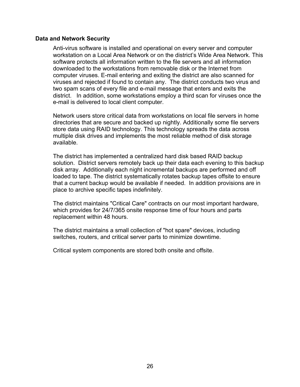#### **Data and Network Security**

Anti-virus software is installed and operational on every server and computer workstation on a Local Area Network or on the district's Wide Area Network. This software protects all information written to the file servers and all information downloaded to the workstations from removable disk or the Internet from computer viruses. E-mail entering and exiting the district are also scanned for viruses and rejected if found to contain any. The district conducts two virus and two spam scans of every file and e-mail message that enters and exits the district. In addition, some workstations employ a third scan for viruses once the e-mail is delivered to local client computer.

Network users store critical data from workstations on local file servers in home directories that are secure and backed up nightly. Additionally some file servers store data using RAID technology. This technology spreads the data across multiple disk drives and implements the most reliable method of disk storage available.

The district has implemented a centralized hard disk based RAID backup solution. District servers remotely back up their data each evening to this backup disk array. Additionally each night incremental backups are performed and off loaded to tape. The district systematically rotates backup tapes offsite to ensure that a current backup would be available if needed. In addition provisions are in place to archive specific tapes indefinitely.

The district maintains "Critical Care" contracts on our most important hardware, which provides for 24/7/365 onsite response time of four hours and parts replacement within 48 hours.

The district maintains a small collection of "hot spare" devices, including switches, routers, and critical server parts to minimize downtime.

Critical system components are stored both onsite and offsite.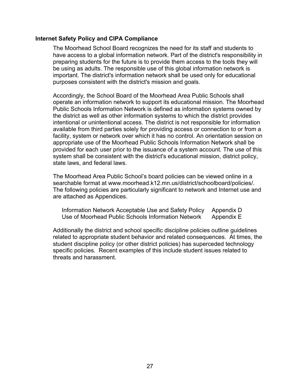#### **Internet Safety Policy and CIPA Compliance**

The Moorhead School Board recognizes the need for its staff and students to have access to a global information network. Part of the district's responsibility in preparing students for the future is to provide them access to the tools they will be using as adults. The responsible use of this global information network is important. The district's information network shall be used only for educational purposes consistent with the district's mission and goals.

Accordingly, the School Board of the Moorhead Area Public Schools shall operate an information network to support its educational mission. The Moorhead Public Schools Information Network is defined as information systems owned by the district as well as other information systems to which the district provides intentional or unintentional access. The district is not responsible for information available from third parties solely for providing access or connection to or from a facility, system or network over which it has no control. An orientation session on appropriate use of the Moorhead Public Schools Information Network shall be provided for each user prior to the issuance of a system account. The use of this system shall be consistent with the district's educational mission, district policy, state laws, and federal laws.

The Moorhead Area Public School's board policies can be viewed online in a searchable format at www.moorhead.k12.mn.us/district/schoolboard/policies/. The following policies are particularly significant to network and Internet use and are attached as Appendices.

| Information Network Acceptable Use and Safety Policy | Appendix D |
|------------------------------------------------------|------------|
| Use of Moorhead Public Schools Information Network   | Appendix E |

Additionally the district and school specific discipline policies outline guidelines related to appropriate student behavior and related consequences. At times, the student discipline policy (or other district policies) has superceded technology specific policies. Recent examples of this include student issues related to threats and harassment.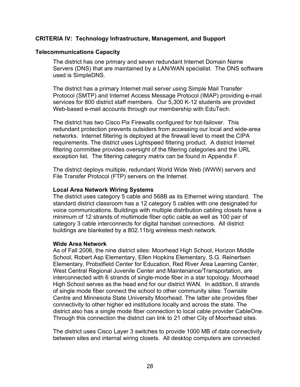## **CRITERIA IV: Technology Infrastructure, Management, and Support**

#### **Telecommunications Capacity**

The district has one primary and seven redundant Internet Domain Name Servers (DNS) that are maintained by a LAN/WAN specialist. The DNS software used is SimpleDNS.

The district has a primary Internet mail server using Simple Mail Transfer Protocol (SMTP) and Internet Access Message Protocol (IMAP) providing e-mail services for 800 district staff members. Our 5,300 K-12 students are provided Web-based e-mail accounts through our membership with EduTech.

The district has two Cisco Pix Firewalls configured for hot-failover. This redundant protection prevents outsiders from accessing our local and wide-area networks. Internet filtering is deployed at the firewall level to meet the CIPA requirements. The district uses Lightspeed filtering product. A district Internet filtering committee provides oversight of the filtering categories and the URL exception list. The filtering category matrix can be found in Appendix F.

The district deploys multiple, redundant World Wide Web (WWW) servers and File Transfer Protocol (FTP) servers on the Internet.

#### **Local Area Network Wiring Systems**

The district uses category 5 cable and 568B as its Ethernet wiring standard. The standard district classroom has a 12 category 5 cables with one designated for voice communications. Buildings with multiple distribution cabling closets have a minimum of 12 strands of multimode fiber optic cable as well as 100 pair of category 3 cable interconnects for digital handset connections. All district buildings are blanketed by a 802.11b/g wireless mesh network.

#### **Wide Area Network**

As of Fall 2006, the nine district sites: Moorhead High School, Horizon Middle School, Robert Asp Elementary, Ellen Hopkins Elementary, S.G. Reinertsen Elementary, Probstfield Center for Education, Red River Area Learning Center, West Central Regional Juvenile Center and Maintenance/Transportation, are interconnected with 6 strands of single-mode fiber in a star topology. Moorhead High School serves as the head end for our district WAN. In addition, 6 strands of single mode fiber connect the school to other community sites: Townsite Centre and Minnesota State University Moorhead. The latter site provides fiber connectivity to other higher ed institutions locally and across the state. The district also has a single mode fiber connection to local cable provider CableOne. Through this connection the district can link to 21 other City of Moorhead sites.

The district uses Cisco Layer 3 switches to provide 1000 MB of data connectivity between sites and internal wiring closets. All desktop computers are connected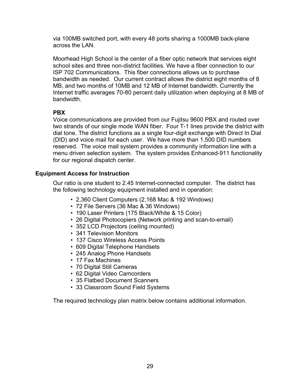via 100MB switched port, with every 48 ports sharing a 1000MB back-plane across the LAN.

Moorhead High School is the center of a fiber optic network that services eight school sites and three non-district facilities. We have a fiber connection to our ISP 702 Communications. This fiber connections allows us to purchase bandwidth as needed. Our current contract allows the district eight months of 8 MB, and two months of 10MB and 12 MB of Internet bandwidth. Currently the Internet traffic averages 70-80 percent daily utilization when deploying at 8 MB of bandwidth.

# **PBX**

Voice communications are provided from our Fujitsu 9600 PBX and routed over two strands of our single mode WAN fiber. Four T-1 lines provide the district with dial tone. The district functions as a single four-digit exchange with Direct In Dial (DID) and voice mail for each user. We have more than 1,500 DID numbers reserved. The voice mail system provides a community information line with a menu driven selection system. The system provides Enhanced-911 functionality for our regional dispatch center.

# **Equipment Access for Instruction**

Our ratio is one student to 2.45 Internet-connected computer. The district has the following technology equipment installed and in operation:

- 2,360 Client Computers (2,168 Mac & 192 Windows)
- 72 File Servers (36 Mac & 36 Windows)
- 190 Laser Printers (175 Black/White & 15 Color)
- 26 Digital Photocopiers (Network printing and scan-to-email)
- 352 LCD Projectors (ceiling mounted)
- 341 Television Monitors
- 137 Cisco Wireless Access Points
- 609 Digital Telephone Handsets
- 245 Analog Phone Handsets
- 17 Fax Machines
- 70 Digital Still Cameras
- 62 Digital Video Camcorders
- 35 Flatbed Document Scanners
- 33 Classroom Sound Field Systems

The required technology plan matrix below contains additional information.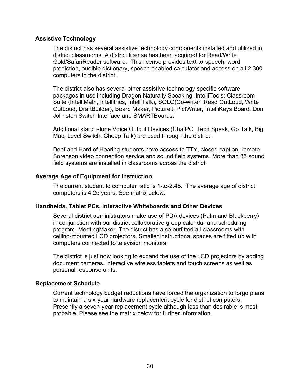#### **Assistive Technology**

The district has several assistive technology components installed and utilized in district classrooms. A district license has been acquired for Read/Write Gold/SafariReader software. This license provides text-to-speech, word prediction, audible dictionary, speech enabled calculator and access on all 2,300 computers in the district.

The district also has several other assistive technology specific software packages in use including Dragon Naturally Speaking, IntelliTools: Classroom Suite (IntelliMath, IntelliPics, IntelliTalk), SOLO(Co-writer, Read OutLoud, Write OutLoud, DraftBuilder), Board Maker, Pictureit, PictWriter, IntelliKeys Board, Don Johnston Switch Interface and SMARTBoards.

Additional stand alone Voice Output Devices (ChatPC, Tech Speak, Go Talk, Big Mac, Level Switch, Cheap Talk) are used through the district.

Deaf and Hard of Hearing students have access to TTY, closed caption, remote Sorenson video connection service and sound field systems. More than 35 sound field systems are installed in classrooms across the district.

### **Average Age of Equipment for Instruction**

The current student to computer ratio is 1-to-2.45. The average age of district computers is 4.25 years. See matrix below.

### **Handhelds, Tablet PCs, Interactive Whiteboards and Other Devices**

Several district administrators make use of PDA devices (Palm and Blackberry) in conjunction with our district collaborative group calendar and scheduling program, MeetingMaker. The district has also outfitted all classrooms with ceiling-mounted LCD projectors. Smaller instructional spaces are fitted up with computers connected to television monitors.

The district is just now looking to expand the use of the LCD projectors by adding document cameras, interactive wireless tablets and touch screens as well as personal response units.

#### **Replacement Schedule**

Current technology budget reductions have forced the organization to forgo plans to maintain a six-year hardware replacement cycle for district computers. Presently a seven-year replacement cycle although less than desirable is most probable. Please see the matrix below for further information.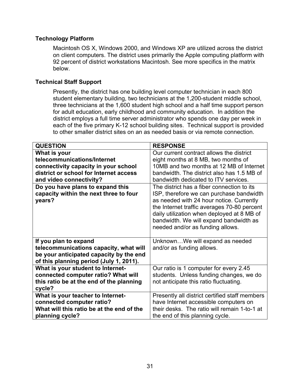# **Technology Platform**

Macintosh OS X, Windows 2000, and Windows XP are utilized across the district on client computers. The district uses primarily the Apple computing platform with 92 percent of district workstations Macintosh. See more specifics in the matrix below.

## **Technical Staff Support**

Presently, the district has one building level computer technician in each 800 student elementary building, two technicians at the 1,200-student middle school, three technicians at the 1,600 student high school and a half time support person for adult education, early childhood and community education. In addition the district employs a full time server administrator who spends one day per week in each of the five primary K-12 school building sites. Technical support is provided to other smaller district sites on an as needed basis or via remote connection.

| <b>QUESTION</b>                                                                      | <b>RESPONSE</b>                                                                                                                                                                                                                                                                                               |
|--------------------------------------------------------------------------------------|---------------------------------------------------------------------------------------------------------------------------------------------------------------------------------------------------------------------------------------------------------------------------------------------------------------|
| What is your                                                                         | Our current contract allows the district                                                                                                                                                                                                                                                                      |
| telecommunications/Internet                                                          | eight months at 8 MB, two months of                                                                                                                                                                                                                                                                           |
| connectivity capacity in your school                                                 | 10MB and two months at 12 MB of Internet                                                                                                                                                                                                                                                                      |
| district or school for Internet access                                               | bandwidth. The district also has 1.5 MB of                                                                                                                                                                                                                                                                    |
| and video connectivity?                                                              | bandwidth dedicated to ITV services.                                                                                                                                                                                                                                                                          |
| Do you have plans to expand this<br>capacity within the next three to four<br>years? | The district has a fiber connection to its<br>ISP, therefore we can purchase bandwidth<br>as needed with 24 hour notice. Currently<br>the Internet traffic averages 70-80 percent<br>daily utilization when deployed at 8 MB of<br>bandwidth. We will expand bandwidth as<br>needed and/or as funding allows. |
| If you plan to expand                                                                | UnknownWe will expand as needed                                                                                                                                                                                                                                                                               |
| telecommunications capacity, what will                                               | and/or as funding allows.                                                                                                                                                                                                                                                                                     |
| be your anticipated capacity by the end                                              |                                                                                                                                                                                                                                                                                                               |
| of this planning period (July 1, 2011).                                              |                                                                                                                                                                                                                                                                                                               |
| What is your student to Internet-                                                    | Our ratio is 1 computer for every 2.45                                                                                                                                                                                                                                                                        |
| connected computer ratio? What will                                                  | students. Unless funding changes, we do                                                                                                                                                                                                                                                                       |
| this ratio be at the end of the planning                                             | not anticipate this ratio fluctuating.                                                                                                                                                                                                                                                                        |
| cycle?                                                                               |                                                                                                                                                                                                                                                                                                               |
| What is your teacher to Internet-                                                    | Presently all district certified staff members                                                                                                                                                                                                                                                                |
| connected computer ratio?                                                            | have Internet accessible computers on                                                                                                                                                                                                                                                                         |
| What will this ratio be at the end of the                                            | their desks. The ratio will remain 1-to-1 at                                                                                                                                                                                                                                                                  |
| planning cycle?                                                                      | the end of this planning cycle.                                                                                                                                                                                                                                                                               |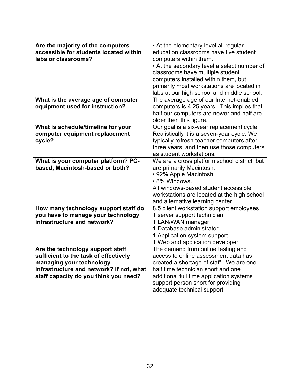| Are the majority of the computers        | • At the elementary level all regular                                 |
|------------------------------------------|-----------------------------------------------------------------------|
| accessible for students located within   | education classrooms have five student                                |
| labs or classrooms?                      | computers within them.                                                |
|                                          | • At the secondary level a select number of                           |
|                                          | classrooms have multiple student                                      |
|                                          | computers installed within them, but                                  |
|                                          | primarily most workstations are located in                            |
|                                          | labs at our high school and middle school.                            |
| What is the average age of computer      | The average age of our Internet-enabled                               |
| equipment used for instruction?          | computers is 4.25 years. This implies that                            |
|                                          | half our computers are newer and half are                             |
|                                          | older then this figure.                                               |
| What is schedule/timeline for your       | Our goal is a six-year replacement cycle.                             |
| computer equipment replacement           | Realistically it is a seven-year cycle. We                            |
| cycle?                                   | typically refresh teacher computers after                             |
|                                          | three years, and then use those computers                             |
|                                          | as student workstations.                                              |
| What is your computer platform? PC-      | We are a cross platform school district, but                          |
| based, Macintosh-based or both?          | are primarily Macintosh.                                              |
|                                          | • 92% Apple Macintosh                                                 |
|                                          | • 8% Windows.                                                         |
|                                          | All windows-based student accessible                                  |
|                                          | workstations are located at the high school                           |
|                                          | and alternative learning center.                                      |
| How many technology support staff do     | 8.5 client workstation support employees                              |
| you have to manage your technology       | 1 server support technician                                           |
| infrastructure and network?              | 1 LAN/WAN manager                                                     |
|                                          | 1 Database administrator                                              |
|                                          | 1 Application system support                                          |
|                                          |                                                                       |
|                                          | 1 Web and application developer<br>The demand from online testing and |
| Are the technology support staff         | access to online assessment data has                                  |
| sufficient to the task of effectively    |                                                                       |
| managing your technology                 | created a shortage of staff. We are one                               |
| infrastructure and network? If not, what | half time technician short and one                                    |
| staff capacity do you think you need?    | additional full time application systems                              |
|                                          | support person short for providing                                    |
|                                          | adequate technical support.                                           |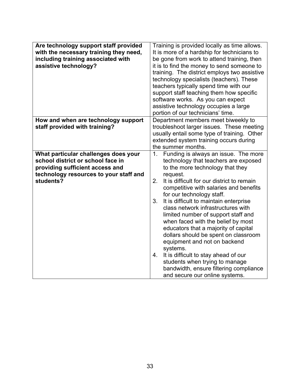| Are technology support staff provided<br>with the necessary training they need,<br>including training associated with<br>assistive technology? | Training is provided locally as time allows.<br>It is more of a hardship for technicians to<br>be gone from work to attend training, then<br>it is to find the money to send someone to<br>training. The district employs two assistive<br>technology specialists (teachers). These<br>teachers typically spend time with our<br>support staff teaching them how specific<br>software works. As you can expect<br>assistive technology occupies a large<br>portion of our technicians' time. |  |
|------------------------------------------------------------------------------------------------------------------------------------------------|----------------------------------------------------------------------------------------------------------------------------------------------------------------------------------------------------------------------------------------------------------------------------------------------------------------------------------------------------------------------------------------------------------------------------------------------------------------------------------------------|--|
| How and when are technology support                                                                                                            | Department members meet biweekly to                                                                                                                                                                                                                                                                                                                                                                                                                                                          |  |
| staff provided with training?                                                                                                                  | troubleshoot larger issues. These meeting                                                                                                                                                                                                                                                                                                                                                                                                                                                    |  |
|                                                                                                                                                | usually entail some type of training. Other                                                                                                                                                                                                                                                                                                                                                                                                                                                  |  |
|                                                                                                                                                | extended system training occurs during                                                                                                                                                                                                                                                                                                                                                                                                                                                       |  |
|                                                                                                                                                | the summer months.                                                                                                                                                                                                                                                                                                                                                                                                                                                                           |  |
|                                                                                                                                                | 1 <sub>1</sub>                                                                                                                                                                                                                                                                                                                                                                                                                                                                               |  |
| What particular challenges does your<br>school district or school face in                                                                      | Funding is always an issue. The more                                                                                                                                                                                                                                                                                                                                                                                                                                                         |  |
|                                                                                                                                                | technology that teachers are exposed                                                                                                                                                                                                                                                                                                                                                                                                                                                         |  |
| providing sufficient access and                                                                                                                | to the more technology that they                                                                                                                                                                                                                                                                                                                                                                                                                                                             |  |
| technology resources to your staff and                                                                                                         | request.                                                                                                                                                                                                                                                                                                                                                                                                                                                                                     |  |
| students?                                                                                                                                      | It is difficult for our district to remain<br>2.                                                                                                                                                                                                                                                                                                                                                                                                                                             |  |
|                                                                                                                                                | competitive with salaries and benefits                                                                                                                                                                                                                                                                                                                                                                                                                                                       |  |
|                                                                                                                                                | for our technology staff.                                                                                                                                                                                                                                                                                                                                                                                                                                                                    |  |
|                                                                                                                                                | It is difficult to maintain enterprise<br>3.                                                                                                                                                                                                                                                                                                                                                                                                                                                 |  |
|                                                                                                                                                | class network infrastructures with                                                                                                                                                                                                                                                                                                                                                                                                                                                           |  |
|                                                                                                                                                | limited number of support staff and                                                                                                                                                                                                                                                                                                                                                                                                                                                          |  |
|                                                                                                                                                | when faced with the belief by most                                                                                                                                                                                                                                                                                                                                                                                                                                                           |  |
|                                                                                                                                                | educators that a majority of capital                                                                                                                                                                                                                                                                                                                                                                                                                                                         |  |
|                                                                                                                                                | dollars should be spent on classroom                                                                                                                                                                                                                                                                                                                                                                                                                                                         |  |
|                                                                                                                                                | equipment and not on backend                                                                                                                                                                                                                                                                                                                                                                                                                                                                 |  |
|                                                                                                                                                | systems.                                                                                                                                                                                                                                                                                                                                                                                                                                                                                     |  |
|                                                                                                                                                | It is difficult to stay ahead of our<br>4.                                                                                                                                                                                                                                                                                                                                                                                                                                                   |  |
|                                                                                                                                                | students when trying to manage                                                                                                                                                                                                                                                                                                                                                                                                                                                               |  |
|                                                                                                                                                | bandwidth, ensure filtering compliance                                                                                                                                                                                                                                                                                                                                                                                                                                                       |  |
|                                                                                                                                                | and secure our online systems.                                                                                                                                                                                                                                                                                                                                                                                                                                                               |  |
|                                                                                                                                                |                                                                                                                                                                                                                                                                                                                                                                                                                                                                                              |  |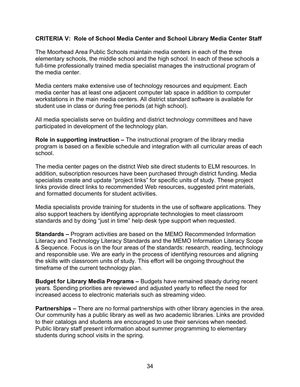# **CRITERIA V: Role of School Media Center and School Library Media Center Staff**

The Moorhead Area Public Schools maintain media centers in each of the three elementary schools, the middle school and the high school. In each of these schools a full-time professionally trained media specialist manages the instructional program of the media center.

Media centers make extensive use of technology resources and equipment. Each media center has at least one adjacent computer lab space in addition to computer workstations in the main media centers. All district standard software is available for student use in class or during free periods (at high school).

All media specialists serve on building and district technology committees and have participated in development of the technology plan.

**Role in supporting instruction –** The instructional program of the library media program is based on a flexible schedule and integration with all curricular areas of each school.

The media center pages on the district Web site direct students to ELM resources. In addition, subscription resources have been purchased through district funding. Media specialists create and update "project links" for specific units of study. These project links provide direct links to recommended Web resources, suggested print materials, and formatted documents for student activities.

Media specialists provide training for students in the use of software applications. They also support teachers by identifying appropriate technologies to meet classroom standards and by doing "just in time" help desk type support when requested.

**Standards –** Program activities are based on the MEMO Recommended Information Literacy and Technology Literacy Standards and the MEMO Information Literacy Scope & Sequence. Focus is on the four areas of the standards: research, reading, technology and responsible use. We are early in the process of identifying resources and aligning the skills with classroom units of study. This effort will be ongoing throughout the timeframe of the current technology plan.

**Budget for Library Media Programs –** Budgets have remained steady during recent years. Spending priorities are reviewed and adjusted yearly to reflect the need for increased access to electronic materials such as streaming video.

**Partnerships –** There are no formal partnerships with other library agencies in the area. Our community has a public library as well as two academic libraries. Links are provided to their catalogs and students are encouraged to use their services when needed. Public library staff present information about summer programming to elementary students during school visits in the spring.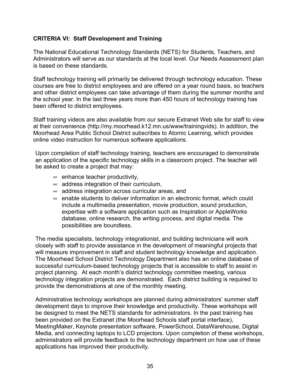# **CRITERIA VI: Staff Development and Training**

The National Educational Technology Standards (NETS) for Students, Teachers, and Administrators will serve as our standards at the local level. Our Needs Assessment plan is based on these standards.

Staff technology training will primarily be delivered through technology education. These courses are free to district employees and are offered on a year round basis, so teachers and other district employees can take advantage of them during the summer months and the school year. In the last three years more than 450 hours of technology training has been offered to district employees.

Staff training videos are also available from our secure Extranet Web site for staff to view at their convenience (http://my.moorhead.k12.mn.us/www/trainingvids). In addition, the Moorhead Area Public School District subscribes to Atomic Learning, which provides online video instruction for numerous software applications.

Upon completion of staff technology training, teachers are encouraged to demonstrate an application of the specific technology skills in a classroom project. The teacher will be asked to create a project that may:

- $\infty$  enhance teacher productivity,
- $\infty$  address integration of their curriculum,
- $\infty$  address integration across curricular areas, and
- $\infty$  enable students to deliver information in an electronic format, which could include a multimedia presentation, movie production, sound production, expertise with a software application such as Inspiration or AppleWorks database, online research, the writing process, and digital media. The possibilities are boundless.

The media specialists, technology integrationist, and building technicians will work closely with staff to provide assistance in the development of meaningful projects that will measure improvement in staff and student technology knowledge and application. The Moorhead School District Technology Department also has an online database of successful curriculum-based technology projects that is accessible to staff to assist in project planning. At each month's district technology committee meeting, various technology integration projects are demonstrated. Each district building is required to provide the demonstrations at one of the monthly meeting.

Administrative technology workshops are planned during administrators' summer staff development days to improve their knowledge and productivity. These workshops will be designed to meet the NETS standards for administrators. In the past training has been provided on the Extranet (the Moorhead Schools staff portal interface), MeetingMaker, Keynote presentation software, PowerSchool, DataWarehouse, Digital Media, and connecting laptops to LCD projectors. Upon completion of these workshops, administrators will provide feedback to the technology department on how use of these applications has improved their productivity.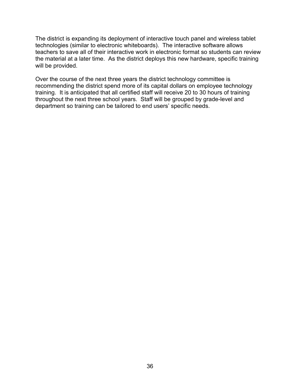The district is expanding its deployment of interactive touch panel and wireless tablet technologies (similar to electronic whiteboards). The interactive software allows teachers to save all of their interactive work in electronic format so students can review the material at a later time. As the district deploys this new hardware, specific training will be provided.

Over the course of the next three years the district technology committee is recommending the district spend more of its capital dollars on employee technology training. It is anticipated that all certified staff will receive 20 to 30 hours of training throughout the next three school years. Staff will be grouped by grade-level and department so training can be tailored to end users' specific needs.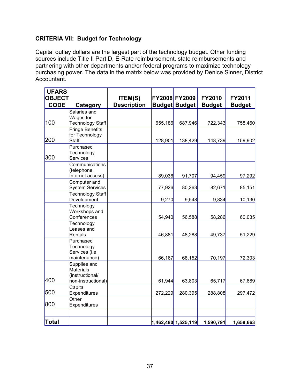# **CRITERIA VII: Budget for Technology**

Capital outlay dollars are the largest part of the technology budget. Other funding sources include Title II Part D, E-Rate reimbursement, state reimbursements and partnering with other departments and/or federal programs to maximize technology purchasing power. The data in the matrix below was provided by Denice Sinner, District Accountant.

| <b>UFARS</b>  |                                   |                    |         |                         |               |               |
|---------------|-----------------------------------|--------------------|---------|-------------------------|---------------|---------------|
| <b>OBJECT</b> |                                   | <b>ITEM(S)</b>     |         | FY2008 FY2009           | <b>FY2010</b> | <b>FY2011</b> |
| <b>CODE</b>   | Category                          | <b>Description</b> |         | <b>Budget Budget</b>    | <b>Budget</b> | <b>Budget</b> |
|               | Salaries and                      |                    |         |                         |               |               |
|               | Wages for                         |                    |         |                         |               |               |
| 100           | Technology Staff                  |                    | 655,186 | 687,946                 | 722,343       | 758,460       |
|               | Fringe Benefits<br>for Technology |                    |         |                         |               |               |
| 200           | Staff                             |                    | 128,901 | 138,429                 | 148,739       | 159,902       |
|               | Purchased                         |                    |         |                         |               |               |
|               | Technology                        |                    |         |                         |               |               |
| 300           | <b>Services</b>                   |                    |         |                         |               |               |
|               | Communications                    |                    |         |                         |               |               |
|               | (telephone,                       |                    |         |                         |               |               |
|               | Internet access)                  |                    | 89,036  | 91,707                  | 94,459        | 97,292        |
|               | Computer and<br>System Services   |                    | 77,926  | 80,263                  | 82,671        | 85,151        |
|               | Technology Staff                  |                    |         |                         |               |               |
|               | Development                       |                    | 9,270   | 9,548                   | 9,834         | 10,130        |
|               | Technology                        |                    |         |                         |               |               |
|               | Workshops and                     |                    |         |                         |               |               |
|               | Conferences                       |                    | 54,940  | 56,588                  | 58,286        | 60,035        |
|               | Technology                        |                    |         |                         |               |               |
|               | Leases and                        |                    |         |                         |               |               |
|               | Rentals                           |                    | 46,881  | 48,288                  | 49,737        | 51,229        |
|               | Purchased<br>Technology           |                    |         |                         |               |               |
|               | Services (i.e.                    |                    |         |                         |               |               |
|               | maintenance)                      |                    | 66,167  | 68,152                  | 70,197        | 72,303        |
|               | Supplies and                      |                    |         |                         |               |               |
|               | Materials                         |                    |         |                         |               |               |
|               | (instructional/                   |                    |         |                         |               |               |
| 400           | non-instructional)                |                    | 61,944  | 63,803                  | 65,717        | 67,689        |
|               | Capital                           |                    |         |                         |               |               |
| 500           | <b>Expenditures</b>               |                    | 272,229 | 280,395                 | 288,808       | 297,472       |
| 800           | Other<br><b>Expenditures</b>      |                    |         |                         |               |               |
|               |                                   |                    |         |                         |               |               |
|               |                                   |                    |         |                         |               |               |
| Total         |                                   |                    |         | $ 1,462,480 $ 1,525,119 | 1,590,791     | 1,659,663     |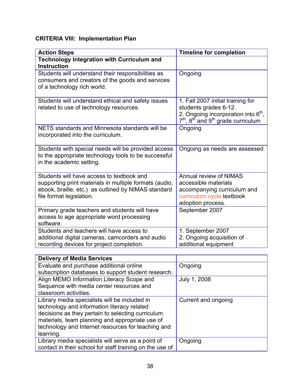# **CRITERIA VIII: Implementation Plan**

| <b>Action Steps</b>                                                                                                                                                                    | <b>Timeline for completion</b>                                                                                                                                                |
|----------------------------------------------------------------------------------------------------------------------------------------------------------------------------------------|-------------------------------------------------------------------------------------------------------------------------------------------------------------------------------|
| <b>Technology Integration with Curriculum and</b><br><b>Instruction</b>                                                                                                                |                                                                                                                                                                               |
| Students will understand their responsibilities as<br>consumers and creators of the goods and services<br>of a technology rich world.                                                  | Ongoing                                                                                                                                                                       |
| Students will understand ethical and safety issues<br>related to use of technology resources.                                                                                          | 1. Fall 2007 initial training for<br>students grades 6-12.<br>2. Ongoing incorporation into $6th$ ,<br>7 <sup>th</sup> , 8 <sup>th</sup> and 9 <sup>th</sup> grade curriculum |
| NETS standards and Minnesota standards will be<br>incorporated into the curriculum.                                                                                                    | Ongoing                                                                                                                                                                       |
| Students with special needs will be provided access<br>to the appropriate technology tools to be successful<br>in the academic setting.                                                | Ongoing as needs are assessed                                                                                                                                                 |
| Students will have access to textbook and<br>supporting print materials in multiple formats (audio,<br>ebook, braille, etc.) as outlined by NIMAS standard<br>file format legislation. | Annual review of NIMAS<br>accessible materials<br>accompanying curriculum and<br>curriculum cycle textbook<br>adoption process.                                               |
| Primary grade teachers and students will have<br>access to age appropriate word processing<br>software.                                                                                | September 2007                                                                                                                                                                |
| Students and teachers will have access to<br>additional digital cameras, camcorders and audio<br>recording devices for project completion.                                             | 1. September 2007<br>2. Ongoing acquisition of<br>additional equipment                                                                                                        |

| <b>Delivery of Media Services</b>                        |                     |
|----------------------------------------------------------|---------------------|
| Evaluate and purchase additional online                  | Ongoing             |
| subscription databases to support student research.      |                     |
| Align MEMO Information Literacy Scope and                | July 1, 2008        |
| Sequence with media center resources and                 |                     |
| classroom activities.                                    |                     |
| Library media specialists will be included in            | Current and ongoing |
| technology and information literacy related              |                     |
| decisions as they pertain to selecting curriculum        |                     |
| materials, team planning and appropriate use of          |                     |
| technology and Internet resources for teaching and       |                     |
| learning.                                                |                     |
| Library media specialists will serve as a point of       | Ongoing             |
| contact in their school for staff training on the use of |                     |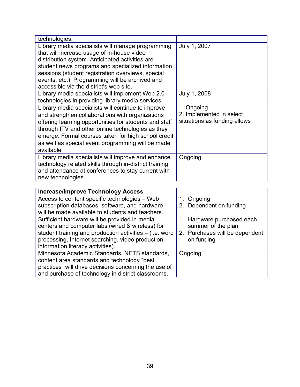| technologies.                                                                                                                                                                                                                                                                                                                                              |                                                                        |
|------------------------------------------------------------------------------------------------------------------------------------------------------------------------------------------------------------------------------------------------------------------------------------------------------------------------------------------------------------|------------------------------------------------------------------------|
| Library media specialists will manage programming<br>that will increase usage of in-house video<br>distribution system. Anticipated activities are<br>student news programs and specialized information<br>sessions (student registration overviews, special<br>events, etc.). Programming will be archived and<br>accessible via the district's web site. | July 1, 2007                                                           |
| Library media specialists will implement Web 2.0<br>technologies in providing library media services.                                                                                                                                                                                                                                                      | July 1, 2008                                                           |
| Library media specialists will continue to improve<br>and strengthen collaborations with organizations<br>offering learning opportunities for students and staff<br>through ITV and other online technologies as they<br>emerge. Formal courses taken for high school credit<br>as well as special event programming will be made<br>available.            | 1. Ongoing<br>2. Implemented in select<br>situations as funding allows |
| Library media specialists will improve and enhance<br>technology related skills through in-district training<br>and attendance at conferences to stay current with<br>new technologies.                                                                                                                                                                    | Ongoing                                                                |

| <b>Increase/Improve Technology Access</b>               |                                |
|---------------------------------------------------------|--------------------------------|
| Access to content specific technologies - Web           | 1. Ongoing                     |
| subscription databases, software, and hardware -        | 2. Dependent on funding        |
| will be made available to students and teachers.        |                                |
| Sufficient hardware will be provided in media           | 1. Hardware purchased each     |
| centers and computer labs (wired & wireless) for        | summer of the plan             |
| student training and production activities – (i.e. word | 2. Purchases will be dependent |
| processing, Internet searching, video production,       | on funding                     |
| information literacy activities).                       |                                |
| Minnesota Academic Standards, NETS standards,           | Ongoing                        |
| content area standards and technology "best             |                                |
| practices" will drive decisions concerning the use of   |                                |
| and purchase of technology in district classrooms.      |                                |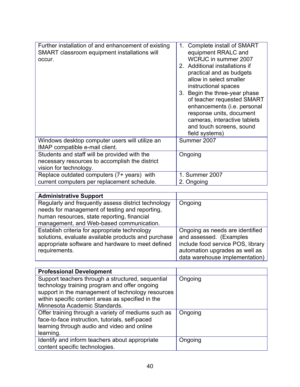| Further installation of and enhancement of existing<br>SMART classroom equipment installations will<br>occur. | Complete install of SMART<br>1.<br>equipment RRALC and<br>WCRJC in summer 2007<br>2. Additional installations if<br>practical and as budgets<br>allow in select smaller<br>instructional spaces<br>3. Begin the three-year phase<br>of teacher requested SMART<br>enhancements (i.e. personal<br>response units, document<br>cameras, interactive tablets<br>and touch screens, sound<br>field systems) |
|---------------------------------------------------------------------------------------------------------------|---------------------------------------------------------------------------------------------------------------------------------------------------------------------------------------------------------------------------------------------------------------------------------------------------------------------------------------------------------------------------------------------------------|
| Windows desktop computer users will utilize an                                                                | Summer 2007                                                                                                                                                                                                                                                                                                                                                                                             |
| IMAP compatible e-mail client.                                                                                |                                                                                                                                                                                                                                                                                                                                                                                                         |
| Students and staff will be provided with the                                                                  | Ongoing                                                                                                                                                                                                                                                                                                                                                                                                 |
| necessary resources to accomplish the district                                                                |                                                                                                                                                                                                                                                                                                                                                                                                         |
| vision for technology.                                                                                        |                                                                                                                                                                                                                                                                                                                                                                                                         |
| Replace outdated computers (7+ years) with                                                                    | 1. Summer 2007                                                                                                                                                                                                                                                                                                                                                                                          |
| current computers per replacement schedule.                                                                   | 2. Ongoing                                                                                                                                                                                                                                                                                                                                                                                              |

| <b>Administrative Support</b>                       |                                   |
|-----------------------------------------------------|-----------------------------------|
| Regularly and frequently assess district technology | Ongoing                           |
| needs for management of testing and reporting,      |                                   |
| human resources, state reporting, financial         |                                   |
| management, and Web-based communication.            |                                   |
| Establish criteria for appropriate technology       | Ongoing as needs are identified   |
| solutions, evaluate available products and purchase | and assessed. (Examples           |
| appropriate software and hardware to meet defined   | include food service POS, library |
| requirements.                                       | automation upgrades as well as    |
|                                                     | data warehouse implementation)    |

| <b>Professional Development</b>                     |         |
|-----------------------------------------------------|---------|
| Support teachers through a structured, sequential   | Ongoing |
| technology training program and offer ongoing       |         |
| support in the management of technology resources   |         |
| within specific content areas as specified in the   |         |
| Minnesota Academic Standards.                       |         |
| Offer training through a variety of mediums such as | Ongoing |
| face-to-face instruction, tutorials, self-paced     |         |
| learning through audio and video and online         |         |
| learning.                                           |         |
| Identify and inform teachers about appropriate      | Ongoing |
| content specific technologies.                      |         |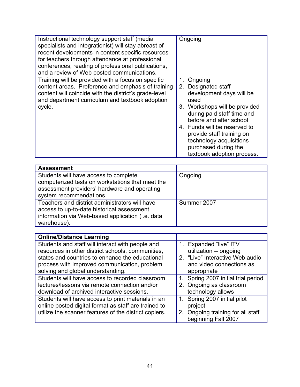| Instructional technology support staff (media<br>specialists and integrationist) will stay abreast of<br>recent developments in content specific resources<br>for teachers through attendance at professional<br>conferences, reading of professional publications,<br>and a review of Web posted communications. | Ongoing                                                                                                                                                                                                                                                                                                             |
|-------------------------------------------------------------------------------------------------------------------------------------------------------------------------------------------------------------------------------------------------------------------------------------------------------------------|---------------------------------------------------------------------------------------------------------------------------------------------------------------------------------------------------------------------------------------------------------------------------------------------------------------------|
| Training will be provided with a focus on specific<br>content areas. Preference and emphasis of training<br>content will coincide with the district's grade-level<br>and department curriculum and textbook adoption<br>cycle.                                                                                    | Ongoing<br>1.<br>Designated staff<br>2.<br>development days will be<br>used<br>3. Workshops will be provided<br>during paid staff time and<br>before and after school<br>4. Funds will be reserved to<br>provide staff training on<br>technology acquisitions<br>purchased during the<br>textbook adoption process. |

| <b>Assessment</b>                                |             |
|--------------------------------------------------|-------------|
| Students will have access to complete            | Ongoing     |
| computerized tests on workstations that meet the |             |
| assessment providers' hardware and operating     |             |
| system recommendations.                          |             |
| Teachers and district administrators will have   | Summer 2007 |
| access to up-to-date historical assessment       |             |
| information via Web-based application (i.e. data |             |
| warehouse).                                      |             |

| <b>Online/Distance Learning</b>                       |                                     |
|-------------------------------------------------------|-------------------------------------|
| Students and staff will interact with people and      | 1. Expanded "live" ITV              |
| resources in other district schools, communities,     | utilization -- ongoing              |
| states and countries to enhance the educational       | 2. "Live" Interactive Web audio     |
| process with improved communication, problem          | and video connections as            |
| solving and global understanding.                     | appropriate                         |
| Students will have access to recorded classroom       | 1. Spring 2007 initial trial period |
| lectures/lessons via remote connection and/or         | 2. Ongoing as classroom             |
| download of archived interactive sessions.            | technology allows                   |
| Students will have access to print materials in an    | 1. Spring 2007 initial pilot        |
| online posted digital format as staff are trained to  | project                             |
| utilize the scanner features of the district copiers. | 2. Ongoing training for all staff   |
|                                                       | beginning Fall 2007                 |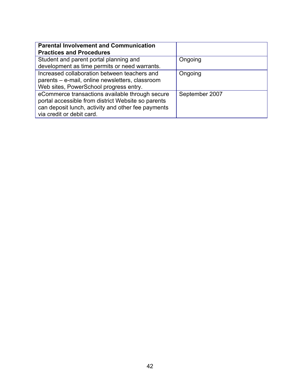| <b>Parental Involvement and Communication</b><br><b>Practices and Procedures</b>                                                                                                         |                |
|------------------------------------------------------------------------------------------------------------------------------------------------------------------------------------------|----------------|
| Student and parent portal planning and<br>development as time permits or need warrants.                                                                                                  | Ongoing        |
| Increased collaboration between teachers and<br>parents - e-mail, online newsletters, classroom<br>Web sites, PowerSchool progress entry.                                                | Ongoing        |
| eCommerce transactions available through secure<br>portal accessible from district Website so parents<br>can deposit lunch, activity and other fee payments<br>via credit or debit card. | September 2007 |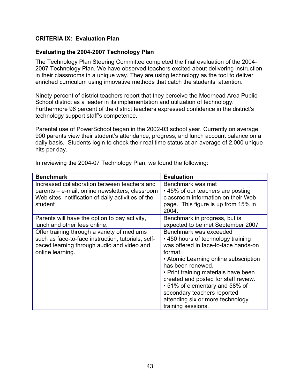# **CRITERIA IX: Evaluation Plan**

#### **Evaluating the 2004-2007 Technology Plan**

The Technology Plan Steering Committee completed the final evaluation of the 2004- 2007 Technology Plan. We have observed teachers excited about delivering instruction in their classrooms in a unique way. They are using technology as the tool to deliver enriched curriculum using innovative methods that catch the students' attention.

Ninety percent of district teachers report that they perceive the Moorhead Area Public School district as a leader in its implementation and utilization of technology. Furthermore 96 percent of the district teachers expressed confidence in the district's technology support staff's competence.

Parental use of PowerSchool began in the 2002-03 school year. Currently on average 900 parents view their student's attendance, progress, and lunch account balance on a daily basis. Students login to check their real time status at an average of 2,000 unique hits per day.

| <b>Benchmark</b>                                   | <b>Evaluation</b>                     |
|----------------------------------------------------|---------------------------------------|
| Increased collaboration between teachers and       | Benchmark was met                     |
| parents – e-mail, online newsletters, classroom    | • 45% of our teachers are posting     |
| Web sites, notification of daily activities of the | classroom information on their Web    |
| student                                            | page. This figure is up from 15% in   |
|                                                    | 2004.                                 |
| Parents will have the option to pay activity,      | Benchmark in progress, but is         |
| lunch and other fees online.                       | expected to be met September 2007     |
| Offer training through a variety of mediums        | Benchmark was exceeded                |
| such as face-to-face instruction, tutorials, self- | • 450 hours of technology training    |
| paced learning through audio and video and         | was offered in face-to-face hands-on  |
| online learning.                                   | format.                               |
|                                                    | • Atomic Learning online subscription |
|                                                    | has been renewed.                     |
|                                                    | • Print training materials have been  |
|                                                    | created and posted for staff review.  |
|                                                    | • 51% of elementary and 58% of        |
|                                                    | secondary teachers reported           |
|                                                    | attending six or more technology      |
|                                                    | training sessions.                    |

In reviewing the 2004-07 Technology Plan, we found the following: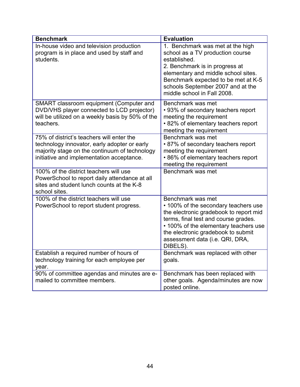| <b>Benchmark</b>                                                                                                                                                                        | <b>Evaluation</b>                                                                                                                                                                                                                                                         |
|-----------------------------------------------------------------------------------------------------------------------------------------------------------------------------------------|---------------------------------------------------------------------------------------------------------------------------------------------------------------------------------------------------------------------------------------------------------------------------|
| In-house video and television production<br>program is in place and used by staff and<br>students.                                                                                      | 1. Benchmark was met at the high<br>school as a TV production course<br>established.<br>2. Benchmark is in progress at<br>elementary and middle school sites.<br>Benchmark expected to be met at K-5<br>schools September 2007 and at the<br>middle school in Fall 2008.  |
| SMART classroom equipment (Computer and<br>DVD/VHS player connected to LCD projector)<br>will be utilized on a weekly basis by 50% of the<br>teachers.                                  | Benchmark was met<br>• 93% of secondary teachers report<br>meeting the requirement<br>• 82% of elementary teachers report<br>meeting the requirement                                                                                                                      |
| 75% of district's teachers will enter the<br>technology innovator, early adopter or early<br>majority stage on the continuum of technology<br>initiative and implementation acceptance. | Benchmark was met<br>• 87% of secondary teachers report<br>meeting the requirement<br>• 86% of elementary teachers report<br>meeting the requirement                                                                                                                      |
| 100% of the district teachers will use<br>PowerSchool to report daily attendance at all<br>sites and student lunch counts at the K-8<br>school sites.                                   | Benchmark was met                                                                                                                                                                                                                                                         |
| 100% of the district teachers will use<br>PowerSchool to report student progress.                                                                                                       | Benchmark was met<br>• 100% of the secondary teachers use<br>the electronic gradebook to report mid<br>terms, final test and course grades.<br>• 100% of the elementary teachers use<br>the electronic gradebook to submit<br>assessment data (i.e. QRI, DRA,<br>DIBELS). |
| Establish a required number of hours of<br>technology training for each employee per<br>year.                                                                                           | Benchmark was replaced with other<br>goals.                                                                                                                                                                                                                               |
| 90% of committee agendas and minutes are e-<br>mailed to committee members.                                                                                                             | Benchmark has been replaced with<br>other goals. Agenda/minutes are now<br>posted online.                                                                                                                                                                                 |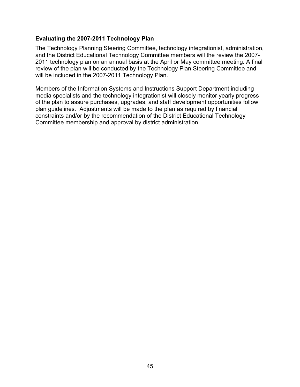## **Evaluating the 2007-2011 Technology Plan**

The Technology Planning Steering Committee, technology integrationist, administration, and the District Educational Technology Committee members will the review the 2007- 2011 technology plan on an annual basis at the April or May committee meeting. A final review of the plan will be conducted by the Technology Plan Steering Committee and will be included in the 2007-2011 Technology Plan.

Members of the Information Systems and Instructions Support Department including media specialists and the technology integrationist will closely monitor yearly progress of the plan to assure purchases, upgrades, and staff development opportunities follow plan guidelines. Adjustments will be made to the plan as required by financial constraints and/or by the recommendation of the District Educational Technology Committee membership and approval by district administration.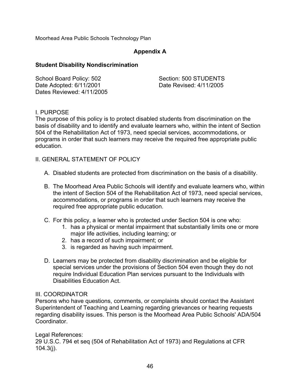Moorhead Area Public Schools Technology Plan

# **Appendix A**

### **Student Disability Nondiscrimination**

| School Board Policy: 502  | Section: 500 STUDENTS   |
|---------------------------|-------------------------|
| Date Adopted: 6/11/2001   | Date Revised: 4/11/2005 |
| Dates Reviewed: 4/11/2005 |                         |

# I. PURPOSE

The purpose of this policy is to protect disabled students from discrimination on the basis of disability and to identify and evaluate learners who, within the intent of Section 504 of the Rehabilitation Act of 1973, need special services, accommodations, or programs in order that such learners may receive the required free appropriate public education.

- II. GENERAL STATEMENT OF POLICY
	- A. Disabled students are protected from discrimination on the basis of a disability.
	- B. The Moorhead Area Public Schools will identify and evaluate learners who, within the intent of Section 504 of the Rehabilitation Act of 1973, need special services, accommodations, or programs in order that such learners may receive the required free appropriate public education.
	- C. For this policy, a learner who is protected under Section 504 is one who:
		- 1. has a physical or mental impairment that substantially limits one or more major life activities, including learning; or
		- 2. has a record of such impairment; or
		- 3. is regarded as having such impairment.
	- D. Learners may be protected from disability discrimination and be eligible for special services under the provisions of Section 504 even though they do not require Individual Education Plan services pursuant to the Individuals with Disabilities Education Act.

### III. COORDINATOR

Persons who have questions, comments, or complaints should contact the Assistant Superintendent of Teaching and Learning regarding grievances or hearing requests regarding disability issues. This person is the Moorhead Area Public Schools' ADA/504 Coordinator.

### Legal References:

29 U.S.C. 794 et seq (504 of Rehabilitation Act of 1973) and Regulations at CFR 104.3(j).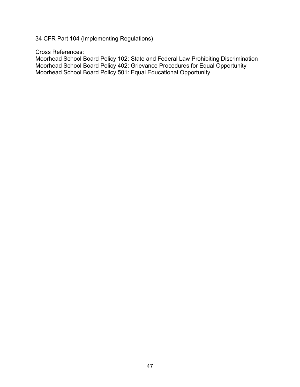34 CFR Part 104 (Implementing Regulations)

Cross References:

Moorhead School Board Policy 102: State and Federal Law Prohibiting Discrimination Moorhead School Board Policy 402: Grievance Procedures for Equal Opportunity Moorhead School Board Policy 501: Equal Educational Opportunity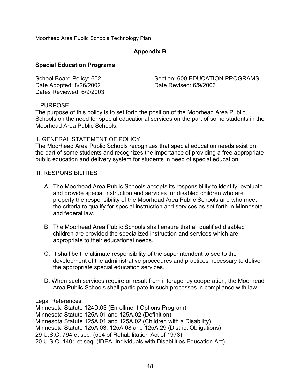Moorhead Area Public Schools Technology Plan

# **Appendix B**

### **Special Education Programs**

Date Adopted: 8/26/2002 Date Revised: 6/9/2003 Dates Reviewed: 6/9/2003

School Board Policy: 602 Section: 600 EDUCATION PROGRAMS

### I. PURPOSE

The purpose of this policy is to set forth the position of the Moorhead Area Public Schools on the need for special educational services on the part of some students in the Moorhead Area Public Schools.

### II. GENERAL STATEMENT OF POLICY

The Moorhead Area Public Schools recognizes that special education needs exist on the part of some students and recognizes the importance of providing a free appropriate public education and delivery system for students in need of special education.

### III. RESPONSIBILITIES

- A. The Moorhead Area Public Schools accepts its responsibility to identify, evaluate and provide special instruction and services for disabled children who are properly the responsibility of the Moorhead Area Public Schools and who meet the criteria to qualify for special instruction and services as set forth in Minnesota and federal law.
- B. The Moorhead Area Public Schools shall ensure that all qualified disabled children are provided the specialized instruction and services which are appropriate to their educational needs.
- C. It shall be the ultimate responsibility of the superintendent to see to the development of the administrative procedures and practices necessary to deliver the appropriate special education services.
- D. When such services require or result from interagency cooperation, the Moorhead Area Public Schools shall participate in such processes in compliance with law.

Legal References:

Minnesota Statute 124D.03 (Enrollment Options Program) Minnesota Statute 125A.01 and 125A.02 (Definition) Minnesota Statute 125A.01 and 125A.02 (Children with a Disability) Minnesota Statute 125A.03, 125A.08 and 125A.29 (District Obligations) 29 U.S.C. 794 et seq. (504 of Rehabilitation Act of 1973) 20 U.S.C. 1401 et seq. (IDEA, Individuals with Disabilities Education Act)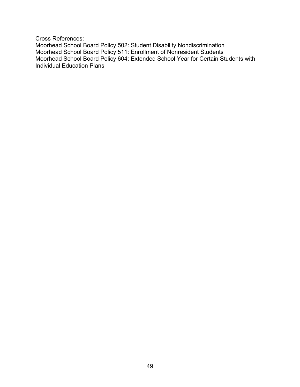Cross References:

Moorhead School Board Policy 502: Student Disability Nondiscrimination Moorhead School Board Policy 511: Enrollment of Nonresident Students Moorhead School Board Policy 604: Extended School Year for Certain Students with Individual Education Plans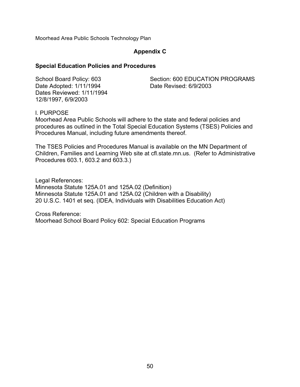Moorhead Area Public Schools Technology Plan

### **Appendix C**

#### **Special Education Policies and Procedures**

Date Adopted: 1/11/1994 Date Revised: 6/9/2003 Dates Reviewed: 1/11/1994 12/8/1997, 6/9/2003

School Board Policy: 603 Section: 600 EDUCATION PROGRAMS

l. PURPOSE

Moorhead Area Public Schools will adhere to the state and federal policies and procedures as outlined in the Total Special Education Systems (TSES) Policies and Procedures Manual, including future amendments thereof.

The TSES Policies and Procedures Manual is available on the MN Department of Children, Families and Learning Web site at cfl.state.mn.us. (Refer to Administrative Procedures 603.1, 603.2 and 603.3.)

Legal References: Minnesota Statute 125A.01 and 125A.02 (Definition) Minnesota Statute 125A.01 and 125A.02 (Children with a Disability) 20 U.S.C. 1401 et seq. (IDEA, Individuals with Disabilities Education Act)

Cross Reference: Moorhead School Board Policy 602: Special Education Programs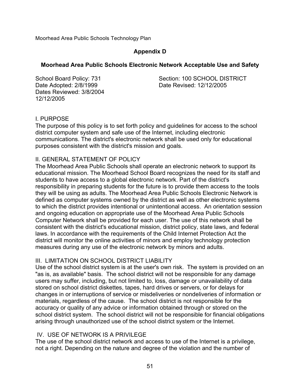Moorhead Area Public Schools Technology Plan

# **Appendix D**

# **Moorhead Area Public Schools Electronic Network Acceptable Use and Safety**

Date Adopted: 2/8/1999 Date Revised: 12/12/2005 Dates Reviewed: 3/8/2004 12/12/2005

School Board Policy: 731 Section: 100 SCHOOL DISTRICT

# I. PURPOSE

The purpose of this policy is to set forth policy and guidelines for access to the school district computer system and safe use of the Internet, including electronic communications. The district's electronic network shall be used only for educational purposes consistent with the district's mission and goals.

# II. GENERAL STATEMENT OF POLICY

The Moorhead Area Public Schools shall operate an electronic network to support its educational mission. The Moorhead School Board recognizes the need for its staff and students to have access to a global electronic network. Part of the district's responsibility in preparing students for the future is to provide them access to the tools they will be using as adults. The Moorhead Area Public Schools Electronic Network is defined as computer systems owned by the district as well as other electronic systems to which the district provides intentional or unintentional access. An orientation session and ongoing education on appropriate use of the Moorhead Area Public Schools Computer Network shall be provided for each user. The use of this network shall be consistent with the district's educational mission, district policy, state laws, and federal laws. In accordance with the requirements of the Child Internet Protection Act the district will monitor the online activities of minors and employ technology protection measures during any use of the electronic network by minors and adults.

# III. LIMITATION ON SCHOOL DISTRICT LIABILITY

Use of the school district system is at the user's own risk. The system is provided on an "as is, as available" basis. The school district will not be responsible for any damage users may suffer, including, but not limited to, loss, damage or unavailability of data stored on school district diskettes, tapes, hard drives or servers, or for delays for changes in or interruptions of service or misdeliveries or nondeliveries of information or materials, regardless of the cause. The school district is not responsible for the accuracy or quality of any advice or information obtained through or stored on the school district system. The school district will not be responsible for financial obligations arising through unauthorized use of the school district system or the Internet.

# IV. USE OF NETWORK IS A PRIVILEGE

The use of the school district network and access to use of the Internet is a privilege, not a right. Depending on the nature and degree of the violation and the number of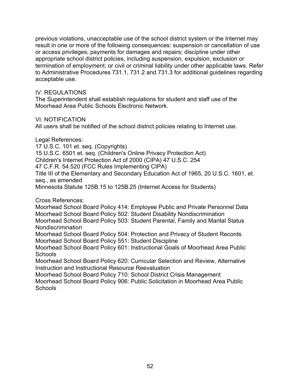previous violations, unacceptable use of the school district system or the Internet may result in one or more of the following consequences: suspension or cancellation of use or access privileges; payments for damages and repairs; discipline under other appropriate school district policies, including suspension, expulsion, exclusion or termination of employment; or civil or criminal liability under other applicable laws. Refer to Administrative Procedures 731.1, 731.2 and 731.3 for additional guidelines regarding acceptable use.

## IV. REGULATIONS

The Superintendent shall establish regulations for student and staff use of the Moorhead Area Public Schools Electronic Network.

# VI. NOTIFICATION

All users shall be notified of the school district policies relating to Internet use.

Legal References:

17 U.S.C. 101 et. seq. (Copyrights) 15 U.S.C. 6501 et. seq. (Children's Online Privacy Protection Act) Children's Internet Protection Act of 2000 (CIPA) 47 U.S.C. 254 47 C.F.R. 54.520 (FCC Rules Implementing CIPA) Title III of the Elementary and Secondary Education Act of 1965, 20 U.S.C. 1601, et. seq., as amended Minnesota Statute 125B.15 to 125B.25 (Internet Access for Students)

Cross References:

Moorhead School Board Policy 414: Employee Public and Private Personnel Data Moorhead School Board Policy 502: Student Disability Nondiscrimination Moorhead School Board Policy 503: Student Parental, Family and Marital Status Nondiscrimination Moorhead School Board Policy 504: Protection and Privacy of Student Records

Moorhead School Board Policy 551: Student Discipline Moorhead School Board Policy 601: Instructional Goals of Moorhead Area Public **Schools** 

Moorhead School Board Policy 620: Curricular Selection and Review, Alternative Instruction and Instructional Resource Reevaluation

Moorhead School Board Policy 710: School District Crisis Management Moorhead School Board Policy 906: Public Solicitation in Moorhead Area Public **Schools**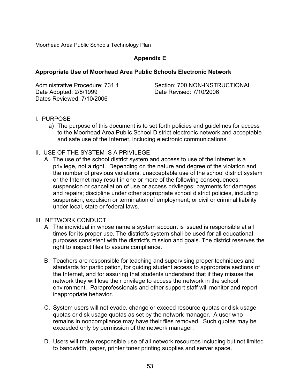Moorhead Area Public Schools Technology Plan

# **Appendix E**

#### **Appropriate Use of Moorhead Area Public Schools Electronic Network**

| Administrative Procedure: 731.1 | Section: 700 NON-INSTRUCTIONAL |
|---------------------------------|--------------------------------|
| Date Adopted: 2/8/1999          | Date Revised: 7/10/2006        |
| Dates Reviewed: 7/10/2006       |                                |

#### I. PURPOSE

a) The purpose of this document is to set forth policies and guidelines for access to the Moorhead Area Public School District electronic network and acceptable and safe use of the Internet, including electronic communications.

#### II. USE OF THE SYSTEM IS A PRIVILEGE

A. The use of the school district system and access to use of the Internet is a privilege, not a right. Depending on the nature and degree of the violation and the number of previous violations, unacceptable use of the school district system or the Internet may result in one or more of the following consequences: suspension or cancellation of use or access privileges; payments for damages and repairs; discipline under other appropriate school district policies, including suspension, expulsion or termination of employment; or civil or criminal liability under local, state or federal laws.

#### III. NETWORK CONDUCT

- A. The individual in whose name a system account is issued is responsible at all times for its proper use. The district's system shall be used for all educational purposes consistent with the district's mission and goals. The district reserves the right to inspect files to assure compliance.
- B. Teachers are responsible for teaching and supervising proper techniques and standards for participation, for guiding student access to appropriate sections of the Internet, and for assuring that students understand that if they misuse the network they will lose their privilege to access the network in the school environment. Paraprofessionals and other support staff will monitor and report inappropriate behavior.
- C. System users will not evade, change or exceed resource quotas or disk usage quotas or disk usage quotas as set by the network manager. A user who remains in noncompliance may have their files removed. Such quotas may be exceeded only by permission of the network manager.
- D. Users will make responsible use of all network resources including but not limited to bandwidth, paper, printer toner printing supplies and server space.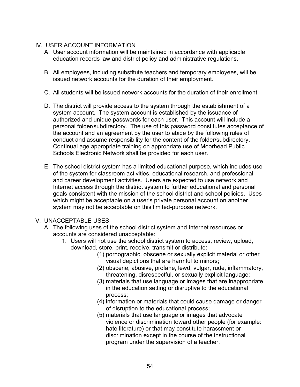# IV. USER ACCOUNT INFORMATION

- A. User account information will be maintained in accordance with applicable education records law and district policy and administrative regulations.
- B. All employees, including substitute teachers and temporary employees, will be issued network accounts for the duration of their employment.
- C. All students will be issued network accounts for the duration of their enrollment.
- D. The district will provide access to the system through the establishment of a system account. The system account is established by the issuance of authorized and unique passwords for each user. This account will include a personal folder/subdirectory. The use of this password constitutes acceptance of the account and an agreement by the user to abide by the following rules of conduct and assume responsibility for the content of the folder/subdirectory. Continual age appropriate training on appropriate use of Moorhead Public Schools Electronic Network shall be provided for each user.
- E. The school district system has a limited educational purpose, which includes use of the system for classroom activities, educational research, and professional and career development activities. Users are expected to use network and Internet access through the district system to further educational and personal goals consistent with the mission of the school district and school policies. Uses which might be acceptable on a user's private personal account on another system may not be acceptable on this limited-purpose network.

# V. UNACCEPTABLE USES

- A. The following uses of the school district system and Internet resources or accounts are considered unacceptable:
	- 1. Users will not use the school district system to access, review, upload, download, store, print, receive, transmit or distribute:
		- (1) pornographic, obscene or sexually explicit material or other visual depictions that are harmful to minors;
		- (2) obscene, abusive, profane, lewd, vulgar, rude, inflammatory, threatening, disrespectful, or sexually explicit language;
		- (3) materials that use language or images that are inappropriate in the education setting or disruptive to the educational process;
		- (4) information or materials that could cause damage or danger of disruption to the educational process;
		- (5) materials that use language or images that advocate violence or discrimination toward other people (for example: hate literature) or that may constitute harassment or discrimination except in the course of the instructional program under the supervision of a teacher.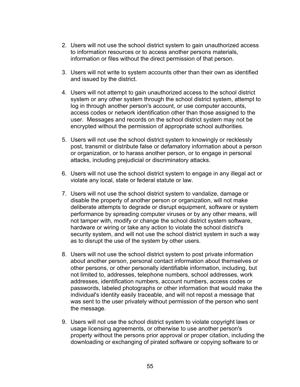- 2. Users will not use the school district system to gain unauthorized access to information resources or to access another persons materials, information or files without the direct permission of that person.
- 3. Users will not write to system accounts other than their own as identified and issued by the district.
- 4. Users will not attempt to gain unauthorized access to the school district system or any other system through the school district system, attempt to log in through another person's account, or use computer accounts, access codes or network identification other than those assigned to the user. Messages and records on the school district system may not be encrypted without the permission of appropriate school authorities.
- 5. Users will not use the school district system to knowingly or recklessly post, transmit or distribute false or defamatory information about a person or organization, or to harass another person, or to engage in personal attacks, including prejudicial or discriminatory attacks.
- 6. Users will not use the school district system to engage in any illegal act or violate any local, state or federal statute or law.
- 7. Users will not use the school district system to vandalize, damage or disable the property of another person or organization, will not make deliberate attempts to degrade or disrupt equipment, software or system performance by spreading computer viruses or by any other means, will not tamper with, modify or change the school district system software, hardware or wiring or take any action to violate the school district's security system, and will not use the school district system in such a way as to disrupt the use of the system by other users.
- 8. Users will not use the school district system to post private information about another person, personal contact information about themselves or other persons, or other personally identifiable information, including, but not limited to, addresses, telephone numbers, school addresses, work addresses, identification numbers, account numbers, access codes or passwords, labeled photographs or other information that would make the individual's identity easily traceable, and will not repost a message that was sent to the user privately without permission of the person who sent the message.
- 9. Users will not use the school district system to violate copyright laws or usage licensing agreements, or otherwise to use another person's property without the persons prior approval or proper citation, including the downloading or exchanging of pirated software or copying software to or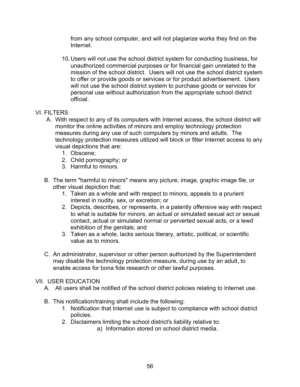from any school computer, and will not plagiarize works they find on the Internet.

10.Users will not use the school district system for conducting business, for unauthorized commercial purposes or for financial gain unrelated to the mission of the school district. Users will not use the school district system to offer or provide goods or services or for product advertisement. Users will not use the school district system to purchase goods or services for personal use without authorization from the appropriate school district official.

# VI. FILTERS

- A. With respect to any of its computers with Internet access, the school district will monitor the online activities of minors and employ technology protection measures during any use of such computers by minors and adults. The technology protection measures utilized will block or filter Internet access to any visual depictions that are:
	- 1. Obscene;
	- 2. Child pornography; or
	- 3. Harmful to minors.
- B. The term "harmful to minors" means any picture, image, graphic image file, or other visual depiction that:
	- 1. Taken as a whole and with respect to minors, appeals to a prurient interest in nudity, sex, or excretion; or
	- 2. Depicts, describes, or represents, in a patently offensive way with respect to what is suitable for minors, an actual or simulated sexual act or sexual contact, actual or simulated normal or perverted sexual acts, or a lewd exhibition of the genitals; and
	- 3. Taken as a whole, lacks serious literary, artistic, political, or scientific value as to minors.
- C. An administrator, supervisor or other person authorized by the Superintendent may disable the technology protection measure, during use by an adult, to enable access for bona fide research or other lawful purposes.

### VII. USER EDUCATION

- A. All users shall be notified of the school district policies relating to Internet use.
- B. This notification/training shall include the following:
	- 1. Notification that Internet use is subject to compliance with school district policies.
	- 2. Disclaimers limiting the school district's liability relative to:
		- a) Information stored on school district media.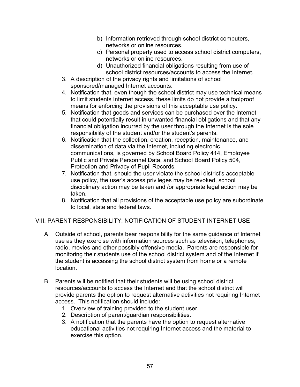- b) Information retrieved through school district computers, networks or online resources.
- c) Personal property used to access school district computers, networks or online resources.
- d) Unauthorized financial obligations resulting from use of school district resources/accounts to access the Internet.
- 3. A description of the privacy rights and limitations of school sponsored/managed Internet accounts.
- 4. Notification that, even though the school district may use technical means to limit students Internet access, these limits do not provide a foolproof means for enforcing the provisions of this acceptable use policy.
- 5. Notification that goods and services can be purchased over the Internet that could potentially result in unwanted financial obligations and that any financial obligation incurred by the user through the Internet is the sole responsibility of the student and/or the student's parents.
- 6. Notification that the collection, creation, reception, maintenance, and dissemination of data via the Internet, including electronic communications, is governed by School Board Policy 414, Employee Public and Private Personnel Data, and School Board Policy 504, Protection and Privacy of Pupil Records.
- 7. Notification that, should the user violate the school district's acceptable use policy, the user's access privileges may be revoked, school disciplinary action may be taken and /or appropriate legal action may be taken.
- 8. Notification that all provisions of the acceptable use policy are subordinate to local, state and federal laws.

# VIII. PARENT RESPONSIBILITY; NOTIFICATION OF STUDENT INTERNET USE

- A. Outside of school, parents bear responsibility for the same guidance of Internet use as they exercise with information sources such as television, telephones, radio, movies and other possibly offensive media. Parents are responsible for monitoring their students use of the school district system and of the Internet if the student is accessing the school district system from home or a remote location.
- B. Parents will be notified that their students will be using school district resources/accounts to access the Internet and that the school district will provide parents the option to request alternative activities not requiring Internet access. This notification should include:
	- 1. Overview of training provided to the student user.
	- 2. Description of parent/guardian responsibilities.
	- 3. A notification that the parents have the option to request alternative educational activities not requiring Internet access and the material to exercise this option.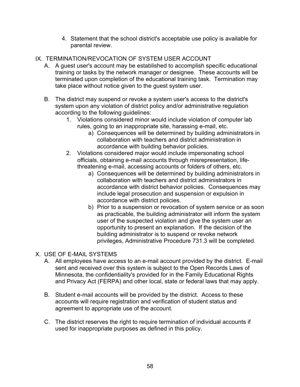- 4. Statement that the school district's acceptable use policy is available for parental review.
- IX. TERMINATION/REVOCATION OF SYSTEM USER ACCOUNT
	- A. A guest user's account may be established to accomplish specific educational training or tasks by the network manager or designee. These accounts will be terminated upon completion of the educational training task. Termination may take place without notice given to the guest system user.
	- B. The district may suspend or revoke a system user's access to the district's system upon any violation of district policy and/or administrative regulation according to the following guidelines:
		- 1. Violations considered minor would include violation of computer lab rules, going to an inappropriate site, harassing e-mail, etc.
			- a) Consequences will be determined by building administrators in collaboration with teachers and district administration in accordance with building behavior policies.
		- 2. Violations considered major would include impersonating school officials, obtaining e-mail accounts through misrepresentation, lifethreatening e-mail, accessing accounts or folders of others, etc.
			- a) Consequences will be determined by building administrators in collaboration with teachers and district administrators in accordance with district behavior policies. Consequences may include legal prosecution and suspension or expulsion in accordance with district policies.
			- b) Prior to a suspension or revocation of system service or as soon as practicable, the building administrator will inform the system user of the suspected violation and give the system user an opportunity to present an explanation. If the decision of the building administrator is to suspend or revoke network privileges, Administrative Procedure 731.3 will be completed.
- X. USE OF E-MAIL SYSTEMS
	- A. All employees have access to an e-mail account provided by the district. E-mail sent and received over this system is subject to the Open Records Laws of Minnesota, the confidentiality's provided for in the Family Educational Rights and Privacy Act (FERPA) and other local, state or federal laws that may apply.
	- B. Student e-mail accounts will be provided by the district. Access to these accounts will require registration and verification of student status and agreement to appropriate use of the account.
	- C. The district reserves the right to require termination of individual accounts if used for inappropriate purposes as defined in this policy.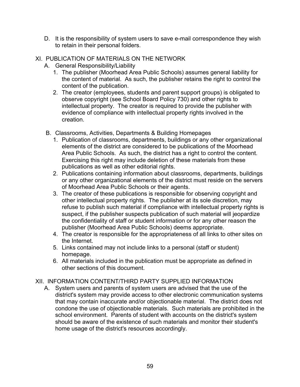D. It is the responsibility of system users to save e-mail correspondence they wish to retain in their personal folders.

# XI. PUBLICATION OF MATERIALS ON THE NETWORK

- A. General Responsibility/Liability
	- 1. The publisher (Moorhead Area Public Schools) assumes general liability for the content of material. As such, the publisher retains the right to control the content of the publication.
	- 2. The creator (employees, students and parent support groups) is obligated to observe copyright (see School Board Policy 730) and other rights to intellectual property. The creator is required to provide the publisher with evidence of compliance with intellectual property rights involved in the creation.
- B. Classrooms, Activities, Departments & Building Homepages
	- 1. Publication of classrooms, departments, buildings or any other organizational elements of the district are considered to be publications of the Moorhead Area Public Schools. As such, the district has a right to control the content. Exercising this right may include deletion of these materials from these publications as well as other editorial rights.
	- 2. Publications containing information about classrooms, departments, buildings or any other organizational elements of the district must reside on the servers of Moorhead Area Public Schools or their agents.
	- 3. The creator of these publications is responsible for observing copyright and other intellectual property rights. The publisher at its sole discretion, may refuse to publish such material if compliance with intellectual property rights is suspect, if the publisher suspects publication of such material will jeopardize the confidentiality of staff or student information or for any other reason the publisher (Moorhead Area Public Schools) deems appropriate.
	- 4. The creator is responsible for the appropriateness of all links to other sites on the Internet.
	- 5. Links contained may not include links to a personal (staff or student) homepage.
	- 6. All materials included in the publication must be appropriate as defined in other sections of this document.

# XII. INFORMATION CONTENT/THIRD PARTY SUPPLIED INFORMATION

A. System users and parents of system users are advised that the use of the district's system may provide access to other electronic communication systems that may contain inaccurate and/or objectionable material. The district does not condone the use of objectionable materials. Such materials are prohibited in the school environment. Parents of student with accounts on the district's system should be aware of the existence of such materials and monitor their student's home usage of the district's resources accordingly.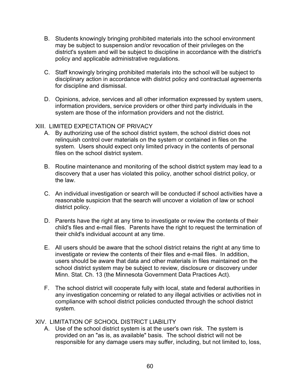- B. Students knowingly bringing prohibited materials into the school environment may be subject to suspension and/or revocation of their privileges on the district's system and will be subject to discipline in accordance with the district's policy and applicable administrative regulations.
- C. Staff knowingly bringing prohibited materials into the school will be subject to disciplinary action in accordance with district policy and contractual agreements for discipline and dismissal.
- D. Opinions, advice, services and all other information expressed by system users, information providers, service providers or other third party individuals in the system are those of the information providers and not the district.

### XIII. LIMITED EXPECTATION OF PRIVACY

- A. By authorizing use of the school district system, the school district does not relinquish control over materials on the system or contained in files on the system. Users should expect only limited privacy in the contents of personal files on the school district system.
- B. Routine maintenance and monitoring of the school district system may lead to a discovery that a user has violated this policy, another school district policy, or the law.
- C. An individual investigation or search will be conducted if school activities have a reasonable suspicion that the search will uncover a violation of law or school district policy.
- D. Parents have the right at any time to investigate or review the contents of their child's files and e-mail files. Parents have the right to request the termination of their child's individual account at any time.
- E. All users should be aware that the school district retains the right at any time to investigate or review the contents of their files and e-mail files. In addition, users should be aware that data and other materials in files maintained on the school district system may be subject to review, disclosure or discovery under Minn. Stat. Ch. 13 (the Minnesota Government Data Practices Act).
- F. The school district will cooperate fully with local, state and federal authorities in any investigation concerning or related to any illegal activities or activities not in compliance with school district policies conducted through the school district system.

### XIV. LIMITATION OF SCHOOL DISTRICT LIABILITY

A. Use of the school district system is at the user's own risk. The system is provided on an "as is, as available" basis. The school district will not be responsible for any damage users may suffer, including, but not limited to, loss,